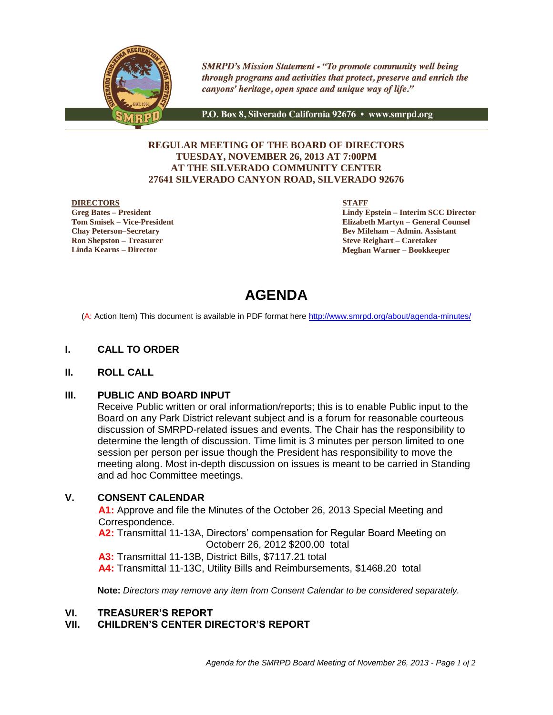

**SMRPD's Mission Statement - "To promote community well being** through programs and activities that protect, preserve and enrich the canyons' heritage, open space and unique way of life."

P.O. Box 8, Silverado California 92676 • www.smrpd.org

### **REGULAR MEETING OF THE BOARD OF DIRECTORS TUESDAY, NOVEMBER 26, 2013 AT 7:00PM AT THE SILVERADO COMMUNITY CENTER 27641 SILVERADO CANYON ROAD, SILVERADO 92676**

#### **DIRECTORS**

**Greg Bates – President Tom Smisek – Vice-President Chay Peterson–Secretary Ron Shepston – Treasurer Linda Kearns – Director**

**STAFF**

**Lindy Epstein – Interim SCC Director Elizabeth Martyn – General Counsel Bev Mileham – Admin. Assistant Steve Reighart – Caretaker Meghan Warner – Bookkeeper**

# **AGENDA**

(A: Action Item) This document is available in PDF format here<http://www.smrpd.org/>about/agenda-minutes/

#### **I. CALL TO ORDER**

#### **II. ROLL CALL**

#### **III. PUBLIC AND BOARD INPUT**

Receive Public written or oral information/reports; this is to enable Public input to the Board on any Park District relevant subject and is a forum for reasonable courteous discussion of SMRPD-related issues and events. The Chair has the responsibility to determine the length of discussion. Time limit is 3 minutes per person limited to one session per person per issue though the President has responsibility to move the meeting along. Most in-depth discussion on issues is meant to be carried in Standing and ad hoc Committee meetings.

### **V. CONSENT CALENDAR**

**A1:** Approve and file the Minutes of the October 26, 2013 Special Meeting and Correspondence.

**A2:** Transmittal 11-13A, Directors' compensation for Regular Board Meeting on Octoberr 26, 2012 \$200.00 total

**A3:** Transmittal 11-13B, District Bills, \$7117.21 total

**A4:** Transmittal 11-13C, Utility Bills and Reimbursements, \$1468.20 total

**Note:** *Directors may remove any item from Consent Calendar to be considered separately.*

#### **VI. TREASURER'S REPORT**

#### **VII. CHILDREN'S CENTER DIRECTOR'S REPORT**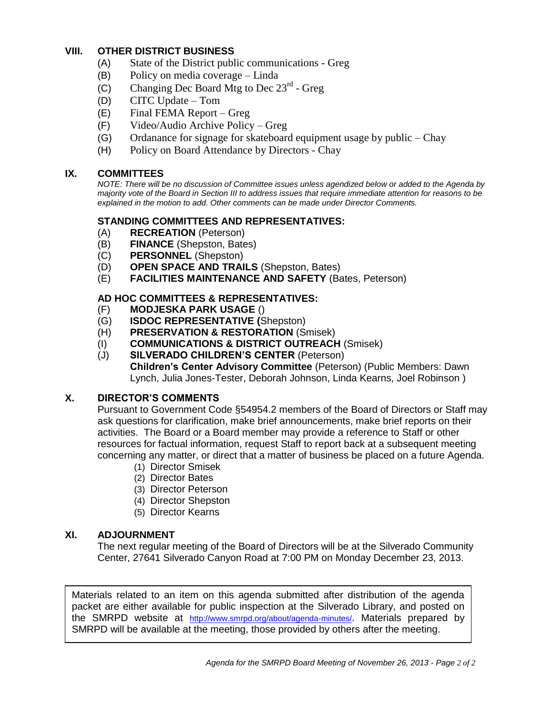# **VIII. OTHER DISTRICT BUSINESS**

- (A) State of the District public communications Greg
- (B) Policy on media coverage Linda
- $(C)$  Changing Dec Board Mtg to Dec 23<sup>rd</sup> Greg
- (D) CITC Update Tom
- (E) Final FEMA Report Greg
- (F) Video/Audio Archive Policy Greg
- (G) Ordanance for signage for skateboard equipment usage by public Chay
- (H) Policy on Board Attendance by Directors Chay

# **IX. COMMITTEES**

*NOTE: There will be no discussion of Committee issues unless agendized below or added to the Agenda by majority vote of the Board in Section III to address issues that require immediate attention for reasons to be explained in the motion to add. Other comments can be made under Director Comments.*

# **STANDING COMMITTEES AND REPRESENTATIVES:**

- (A) **RECREATION** (Peterson)
- (B) **FINANCE** (Shepston, Bates)
- (C) **PERSONNEL** (Shepston)
- (D) **OPEN SPACE AND TRAILS** (Shepston, Bates)
- (E) **FACILITIES MAINTENANCE AND SAFETY** (Bates, Peterson)

# **AD HOC COMMITTEES & REPRESENTATIVES:**

- (F) **MODJESKA PARK USAGE** ()
- (G) **ISDOC REPRESENTATIVE (**Shepston)
- (H) **PRESERVATION & RESTORATION** (Smisek)
- (I) **COMMUNICATIONS & DISTRICT OUTREACH** (Smisek)
- (J) **SILVERADO CHILDREN'S CENTER** (Peterson)

**Children's Center Advisory Committee** (Peterson) (Public Members: Dawn Lynch, Julia Jones-Tester, Deborah Johnson, Linda Kearns, Joel Robinson )

# **X. DIRECTOR'S COMMENTS**

Pursuant to Government Code §54954.2 members of the Board of Directors or Staff may ask questions for clarification, make brief announcements, make brief reports on their activities. The Board or a Board member may provide a reference to Staff or other resources for factual information, request Staff to report back at a subsequent meeting concerning any matter, or direct that a matter of business be placed on a future Agenda.

- (1) Director Smisek
- (2) Director Bates
- (3) Director Peterson
- (4) Director Shepston
- (5) Director Kearns

#### **XI. ADJOURNMENT**

The next regular meeting of the Board of Directors will be at the Silverado Community Center, 27641 Silverado Canyon Road at 7:00 PM on Monday December 23, 2013.

Materials related to an item on this agenda submitted after distribution of the agenda packet are either available for public inspection at the Silverado Library, and posted on the SMRPD website at <http://www.smrpd.org/>about/agenda-minutes/. Materials prepared by SMRPD will be available at the meeting, those provided by others after the meeting.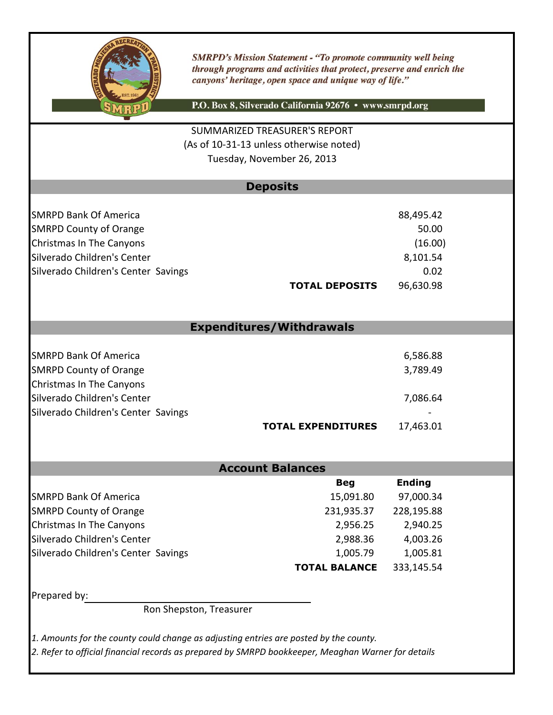

**SMRPD's Mission Statement - "To promote community well being** through programs and activities that protect, preserve and enrich the canyons' heritage, open space and unique way of life."

P.O. Box 8, Silverado California 92676 · www.smrpd.org

(As of 10-31-13 unless otherwise noted) SUMMARIZED TREASURER'S REPORT Tuesday, November 26, 2013

# **Deposits**

| <b>SMRPD Bank Of America</b>        | 88,495.42                          |
|-------------------------------------|------------------------------------|
| <b>SMRPD County of Orange</b>       | 50.00                              |
| <b>Christmas In The Canyons</b>     | (16.00)                            |
| Silverado Children's Center         | 8,101.54                           |
| Silverado Children's Center Savings | 0.02                               |
|                                     | 96,630.98<br><b>TOTAL DEPOSITS</b> |

# **Expenditures/Withdrawals**

| <b>SMRPD Bank Of America</b>        |                           | 6,586.88  |
|-------------------------------------|---------------------------|-----------|
| <b>SMRPD County of Orange</b>       |                           | 3,789.49  |
| Christmas In The Canyons            |                           |           |
| Silverado Children's Center         |                           | 7,086.64  |
| Silverado Children's Center Savings |                           |           |
|                                     | <b>TOTAL EXPENDITURES</b> | 17,463.01 |

# **Account Balances**

|                                     | <b>Beg</b>           | <b>Ending</b> |
|-------------------------------------|----------------------|---------------|
| <b>SMRPD Bank Of America</b>        | 15,091.80            | 97,000.34     |
| <b>SMRPD County of Orange</b>       | 231,935.37           | 228,195.88    |
| <b>Christmas In The Canyons</b>     | 2,956.25             | 2,940.25      |
| Silverado Children's Center         | 2,988.36             | 4,003.26      |
| Silverado Children's Center Savings | 1,005.79             | 1,005.81      |
|                                     | <b>TOTAL BALANCE</b> | 333,145.54    |

Prepared by:

Ron Shepston, Treasurer

*1. Amounts for the county could change as adjusting entries are posted by the county.*

*2. Refer to official financial records as prepared by SMRPD bookkeeper, Meaghan Warner for details*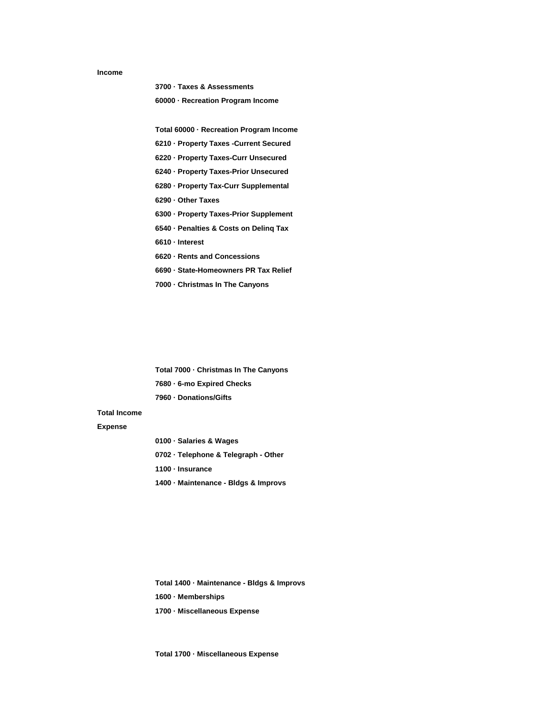#### **Income**

**3700 · Taxes & Assessments**

**60000 · Recreation Program Income**

**Total 60000 · Recreation Program Income**

**6210 · Property Taxes -Current Secured**

**6220 · Property Taxes-Curr Unsecured**

**6240 · Property Taxes-Prior Unsecured**

**6280 · Property Tax-Curr Supplemental**

**6290 · Other Taxes**

**6300 · Property Taxes-Prior Supplement**

**6540 · Penalties & Costs on Delinq Tax**

**6610 · Interest**

**6620 · Rents and Concessions**

**6690 · State-Homeowners PR Tax Relief**

**7000 · Christmas In The Canyons**

**Total 7000 · Christmas In The Canyons 7680 · 6-mo Expired Checks 7960 · Donations/Gifts**

#### **Total Income**

#### **Expense**

**0100 · Salaries & Wages 0702 · Telephone & Telegraph - Other 1100 · Insurance 1400 · Maintenance - Bldgs & Improvs**

**Total 1400 · Maintenance - Bldgs & Improvs 1600 · Memberships 1700 · Miscellaneous Expense**

**Total 1700 · Miscellaneous Expense**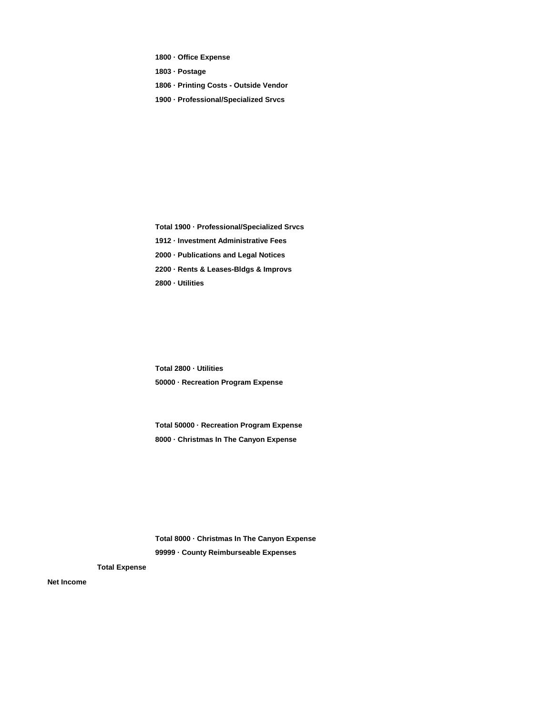**1800 · Office Expense**

**1803 · Postage**

**1806 · Printing Costs - Outside Vendor**

**1900 · Professional/Specialized Srvcs**

**Total 1900 · Professional/Specialized Srvcs 1912 · Investment Administrative Fees 2000 · Publications and Legal Notices 2200 · Rents & Leases-Bldgs & Improvs 2800 · Utilities**

**Total 2800 · Utilities 50000 · Recreation Program Expense**

**Total 50000 · Recreation Program Expense 8000 · Christmas In The Canyon Expense**

**Total 8000 · Christmas In The Canyon Expense 99999 · County Reimburseable Expenses**

**Total Expense**

**Net Income**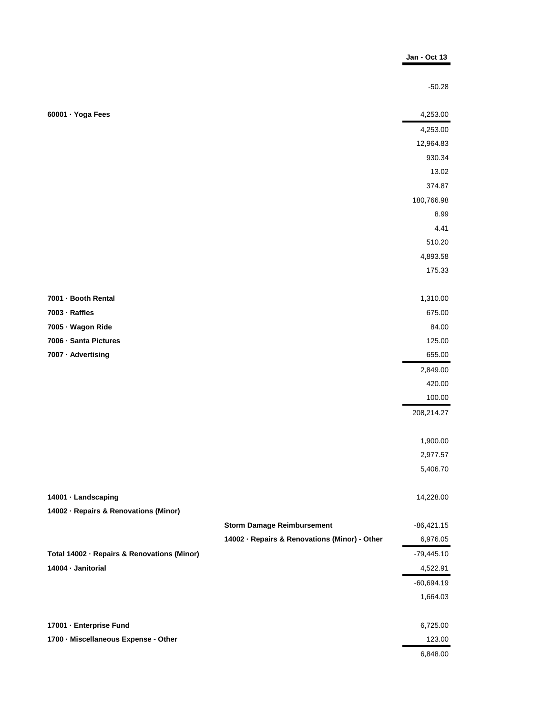|                                             |                                               | Jan - Oct 13 |
|---------------------------------------------|-----------------------------------------------|--------------|
|                                             |                                               |              |
|                                             |                                               | $-50.28$     |
|                                             |                                               |              |
| 60001 · Yoga Fees                           |                                               | 4,253.00     |
|                                             |                                               | 4,253.00     |
|                                             |                                               | 12,964.83    |
|                                             |                                               | 930.34       |
|                                             |                                               | 13.02        |
|                                             |                                               | 374.87       |
|                                             |                                               | 180,766.98   |
|                                             |                                               | 8.99         |
|                                             |                                               | 4.41         |
|                                             |                                               | 510.20       |
|                                             |                                               | 4,893.58     |
|                                             |                                               | 175.33       |
|                                             |                                               |              |
| 7001 - Booth Rental                         |                                               | 1,310.00     |
| 7003 - Raffles                              |                                               | 675.00       |
| 7005 · Wagon Ride                           |                                               | 84.00        |
| 7006 - Santa Pictures                       |                                               | 125.00       |
| 7007 · Advertising                          |                                               | 655.00       |
|                                             |                                               | 2,849.00     |
|                                             |                                               | 420.00       |
|                                             |                                               | 100.00       |
|                                             |                                               | 208,214.27   |
|                                             |                                               |              |
|                                             |                                               | 1,900.00     |
|                                             |                                               | 2,977.57     |
|                                             |                                               | 5,406.70     |
|                                             |                                               |              |
| 14001 · Landscaping                         |                                               | 14,228.00    |
| 14002 - Repairs & Renovations (Minor)       |                                               |              |
|                                             | <b>Storm Damage Reimbursement</b>             | $-86,421.15$ |
|                                             | 14002 · Repairs & Renovations (Minor) - Other | 6,976.05     |
| Total 14002 · Repairs & Renovations (Minor) |                                               | $-79,445.10$ |
| 14004 · Janitorial                          |                                               | 4,522.91     |
|                                             |                                               | $-60,694.19$ |
|                                             |                                               | 1,664.03     |
|                                             |                                               |              |
| 17001 - Enterprise Fund                     |                                               | 6,725.00     |
| 1700 - Miscellaneous Expense - Other        |                                               | 123.00       |
|                                             |                                               | 6,848.00     |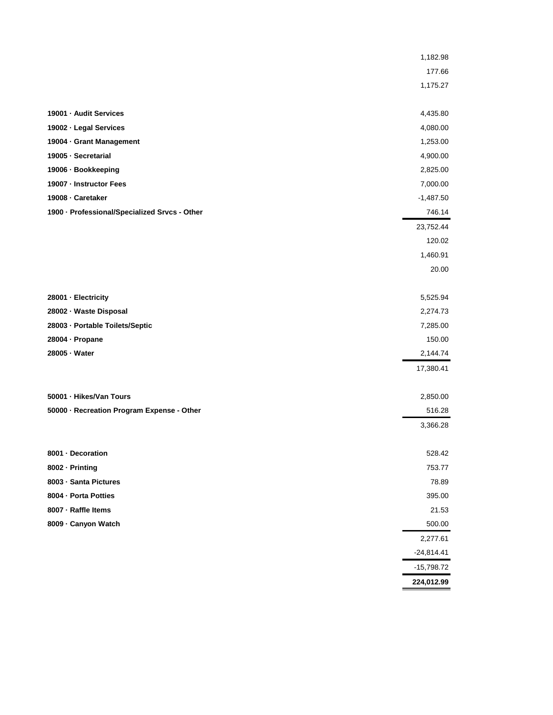|                                               | 1,182.98     |
|-----------------------------------------------|--------------|
|                                               | 177.66       |
|                                               | 1,175.27     |
|                                               |              |
| 19001 - Audit Services                        | 4,435.80     |
| 19002 · Legal Services                        | 4,080.00     |
| 19004 · Grant Management                      | 1,253.00     |
| 19005 - Secretarial                           | 4,900.00     |
| 19006 · Bookkeeping                           | 2,825.00     |
| 19007 - Instructor Fees                       | 7,000.00     |
| 19008 - Caretaker                             | $-1,487.50$  |
| 1900 · Professional/Specialized Srvcs - Other | 746.14       |
|                                               | 23,752.44    |
|                                               | 120.02       |
|                                               | 1,460.91     |
|                                               | 20.00        |
|                                               |              |
| 28001 - Electricity                           | 5,525.94     |
| 28002 - Waste Disposal                        | 2,274.73     |
| 28003 - Portable Toilets/Septic               | 7,285.00     |
| 28004 · Propane                               | 150.00       |
| 28005 - Water                                 | 2,144.74     |
|                                               | 17,380.41    |
|                                               |              |
| 50001 · Hikes/Van Tours                       | 2,850.00     |
| 50000 · Recreation Program Expense - Other    | 516.28       |
|                                               | 3,366.28     |
|                                               |              |
| 8001 - Decoration                             | 528.42       |
| 8002 · Printing                               | 753.77       |
| 8003 · Santa Pictures                         | 78.89        |
| 8004 - Porta Potties                          | 395.00       |
| 8007 - Raffle Items                           | 21.53        |
| 8009 - Canyon Watch                           | 500.00       |
|                                               | 2,277.61     |
|                                               | $-24,814.41$ |
|                                               | $-15,798.72$ |
|                                               | 224,012.99   |
|                                               |              |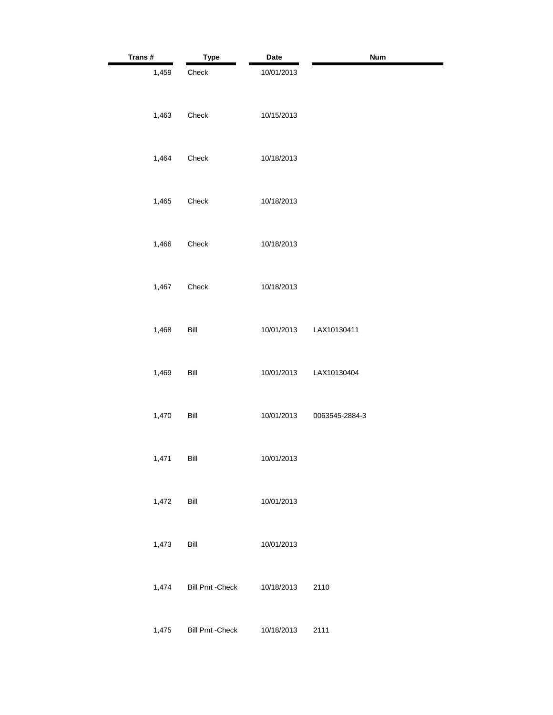| Trans# | <b>Type</b>             | Date       | Num            |
|--------|-------------------------|------------|----------------|
| 1,459  | Check                   | 10/01/2013 |                |
| 1,463  | Check                   | 10/15/2013 |                |
| 1,464  | Check                   | 10/18/2013 |                |
| 1,465  | Check                   | 10/18/2013 |                |
| 1,466  | Check                   | 10/18/2013 |                |
| 1,467  | Check                   | 10/18/2013 |                |
| 1,468  | Bill                    | 10/01/2013 | LAX10130411    |
| 1,469  | Bill                    | 10/01/2013 | LAX10130404    |
| 1,470  | Bill                    | 10/01/2013 | 0063545-2884-3 |
| 1,471  | Bill                    | 10/01/2013 |                |
| 1,472  | Bill                    | 10/01/2013 |                |
| 1,473  | Bill                    | 10/01/2013 |                |
| 1,474  | <b>Bill Pmt - Check</b> | 10/18/2013 | 2110           |
| 1,475  | <b>Bill Pmt - Check</b> | 10/18/2013 | 2111           |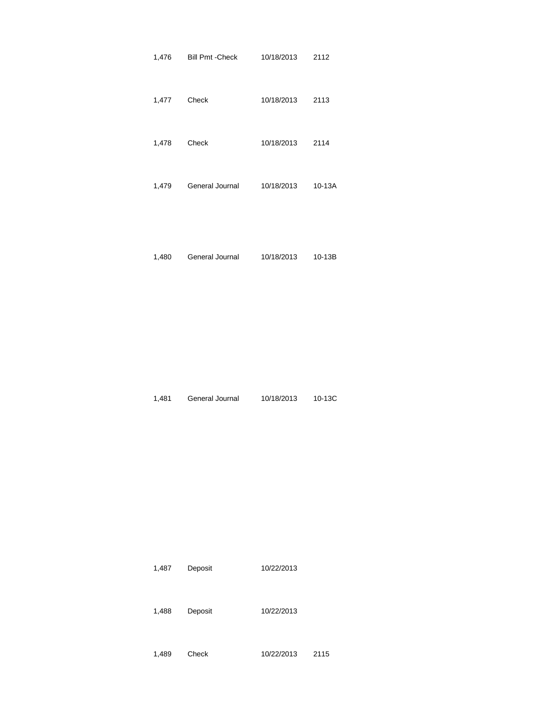| 1,476 | Bill Pmt - Check | 10/18/2013 | 2112   |
|-------|------------------|------------|--------|
| 1,477 | Check            | 10/18/2013 | 2113   |
| 1,478 | Check            | 10/18/2013 | 2114   |
| 1,479 | General Journal  | 10/18/2013 | 10-13A |
|       |                  |            |        |

| 1,480 | General Journal | 10/18/2013 | 10-13B |
|-------|-----------------|------------|--------|
|       |                 |            |        |

1,481 General Journal 10/18/2013 10-13C

| 10/22/2013<br>1,487<br>Deposit |
|--------------------------------|
|--------------------------------|

| 1,488 | Deposit | 10/22/2013 |
|-------|---------|------------|

1,489 Check 10/22/2013 2115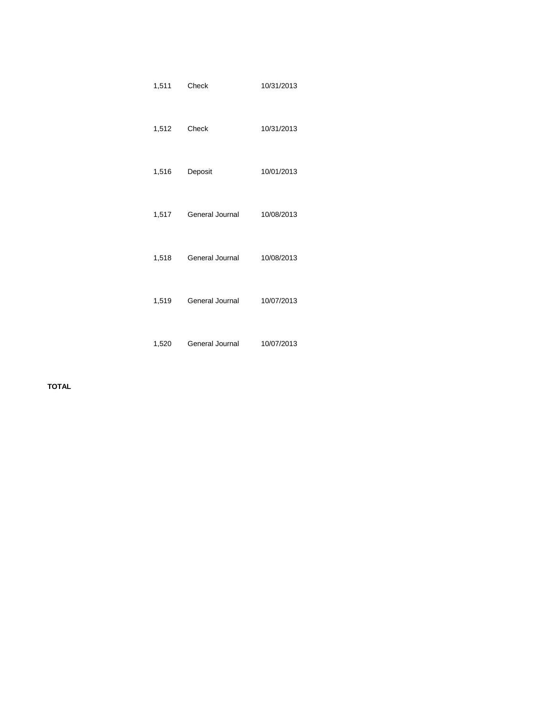| 1,511 | Check           | 10/31/2013 |
|-------|-----------------|------------|
| 1,512 | Check           | 10/31/2013 |
| 1,516 | Deposit         | 10/01/2013 |
| 1,517 | General Journal | 10/08/2013 |
| 1,518 | General Journal | 10/08/2013 |
| 1,519 | General Journal | 10/07/2013 |
| 1,520 | General Journal | 10/07/2013 |

**TOTAL**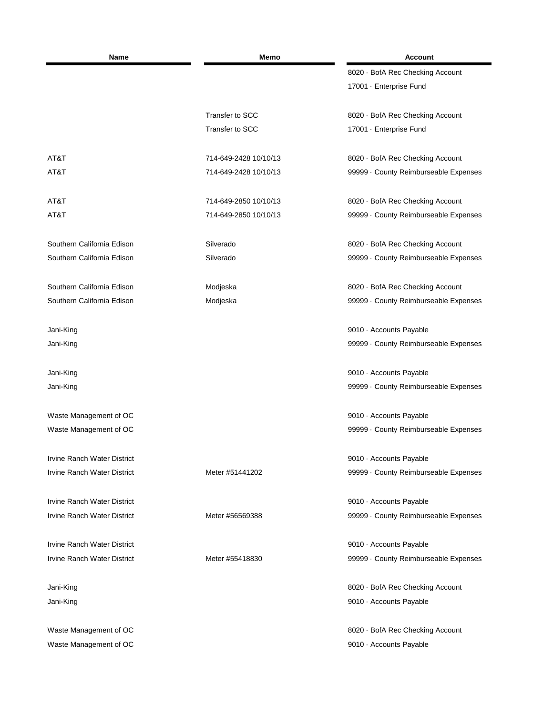| Name                               | Memo                  | <b>Account</b>                      |
|------------------------------------|-----------------------|-------------------------------------|
|                                    |                       | 8020 · BofA Rec Checking Account    |
|                                    |                       | 17001 · Enterprise Fund             |
|                                    | Transfer to SCC       | 8020 · BofA Rec Checking Account    |
|                                    | Transfer to SCC       | 17001 · Enterprise Fund             |
| AT&T                               | 714-649-2428 10/10/13 | 8020 · BofA Rec Checking Account    |
| AT&T                               | 714-649-2428 10/10/13 | 99999 County Reimburseable Expenses |
| AT&T                               | 714-649-2850 10/10/13 | 8020 · BofA Rec Checking Account    |
| AT&T                               | 714-649-2850 10/10/13 | 99999 County Reimburseable Expenses |
| Southern California Edison         | Silverado             | 8020 · BofA Rec Checking Account    |
| Southern California Edison         | Silverado             | 99999 County Reimburseable Expenses |
| Southern California Edison         | Modjeska              | 8020 · BofA Rec Checking Account    |
| Southern California Edison         | Modjeska              | 99999 County Reimburseable Expenses |
| Jani-King                          |                       | 9010 · Accounts Payable             |
| Jani-King                          |                       | 99999 County Reimburseable Expenses |
| Jani-King                          |                       | 9010 · Accounts Payable             |
| Jani-King                          |                       | 99999 County Reimburseable Expenses |
| Waste Management of OC             |                       | 9010 · Accounts Payable             |
| Waste Management of OC             |                       | 99999 County Reimburseable Expenses |
| <b>Irvine Ranch Water District</b> |                       | 9010 · Accounts Payable             |
| <b>Irvine Ranch Water District</b> | Meter #51441202       | 99999 County Reimburseable Expenses |
| <b>Irvine Ranch Water District</b> |                       | 9010 · Accounts Payable             |
| <b>Irvine Ranch Water District</b> | Meter #56569388       | 99999 County Reimburseable Expenses |
| Irvine Ranch Water District        |                       | 9010 · Accounts Payable             |
| <b>Irvine Ranch Water District</b> | Meter #55418830       | 99999 County Reimburseable Expenses |
| Jani-King                          |                       | 8020 · BofA Rec Checking Account    |
| Jani-King                          |                       | 9010 · Accounts Payable             |
| Waste Management of OC             |                       | 8020 · BofA Rec Checking Account    |
| Waste Management of OC             |                       | 9010 · Accounts Payable             |
|                                    |                       |                                     |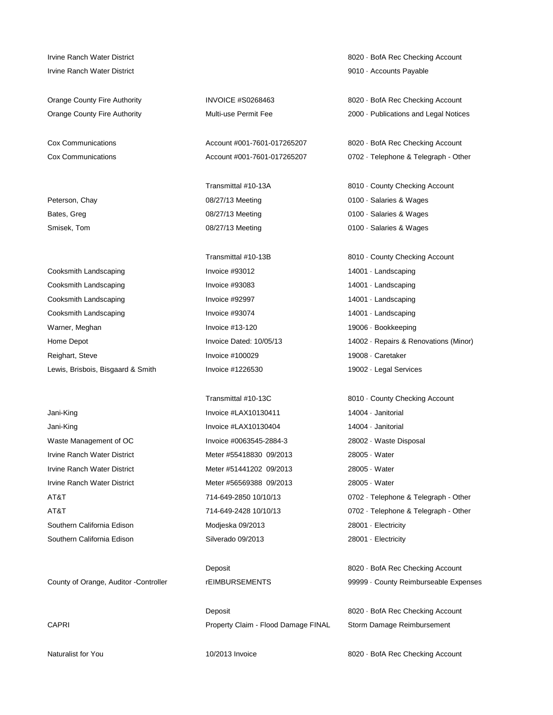Irvine Ranch Water District 9010 · Accounts Payable

Cooksmith Landscaping Invoice #93012 14001 · Landscaping Cooksmith Landscaping The Invoice #93083 14001 · Landscaping Cooksmith Landscaping The Invoice #92997 14001 · Landscaping Cooksmith Landscaping The Invoice #93074 14001 · Landscaping Warner, Meghan **Invoice #13-120** Invoice #13-120 19006 · Bookkeeping Reighart, Steve **Invoice #100029** 19008 · Caretaker Lewis, Brisbois, Bisgaard & Smith Invoice #1226530 19002 · Legal Services

Jani-King **Invoice #LAX10130404** 14004 · Janitorial Waste Management of OC **Invoice #0063545-2884-3** 28002 · Waste Disposal Irvine Ranch Water District The Meter #55418830 09/2013 28005 · Water Irvine Ranch Water District Meter #51441202 09/2013 28005 · Water Irvine Ranch Water District Meter #56569388 09/2013 28005 · Water Southern California Edison **Modieska 09/2013** 28001 · Electricity Southern California Edison **Silverado 09/2013 Silverado 09/2013** 28001 · Electricity

Smisek, Tom 08/27/13 Meeting 0100 · Salaries & Wages

Jani-King **Invoice #LAX10130411** 14004 · Janitorial

Deposit **8020 · BofA Rec Checking Account** CAPRI **Property Claim - Flood Damage FINAL** Storm Damage Reimbursement

Irvine Ranch Water District 8020 · BofA Rec Checking Account

Orange County Fire Authority **INVOICE #S0268463** 8020 · BofA Rec Checking Account Orange County Fire Authority **Multi-use Permit Fee** 2000 · Publications and Legal Notices

Cox Communications **Account #001-7601-017265207** 8020 · BofA Rec Checking Account Cox Communications **Account #001-7601-017265207** 0702 · Telephone & Telegraph - Other

Transmittal #10-13A 8010 · County Checking Account Peterson, Chay **DRICE 2010** 08/27/13 Meeting **DRICE 2010** · Salaries & Wages Bates, Greg **28. In the COM** of the COM/27/13 Meeting **DRIVER 18th COM/27/13 Meeting 0100 · Salaries & Wages** 

Transmittal #10-13B 8010 · County Checking Account Home Depot **Invoice Dated: 10/05/13** 14002 · Repairs & Renovations (Minor)

Transmittal #10-13C 8010 · County Checking Account AT&T 714-649-2850 10/10/13 0702 · Telephone & Telegraph - Other AT&T 714-649-2428 10/10/13 0702 · Telephone & Telegraph - Other

Deposit **8020 · BofA Rec Checking Account** County of Orange, Auditor -Controller rEIMBURSEMENTS 99999 · County Reimburseable Expenses

Naturalist for You **10/2013 Invoice** 8020 · BofA Rec Checking Account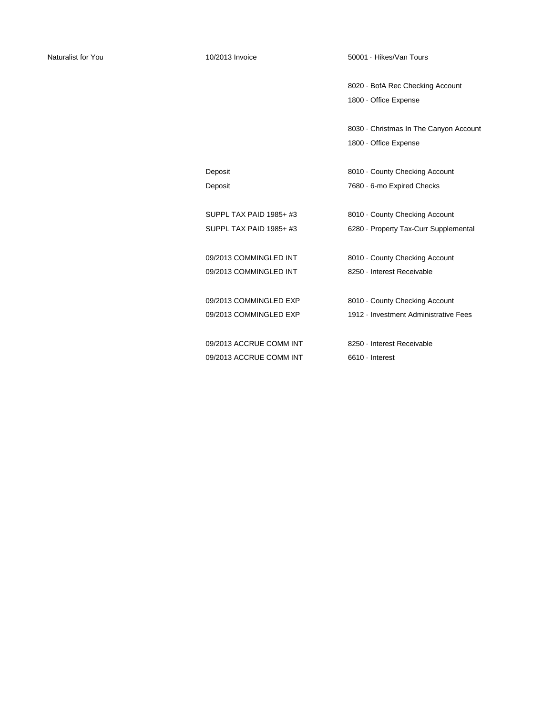Naturalist for You **10/2013 Invoice** 50001 · Hikes/Van Tours **Naturalist** for You

8020 · BofA Rec Checking Account 1800 · Office Expense

8030 · Christmas In The Canyon Account 1800 · Office Expense

Deposit **Deposit** 8010 · County Checking Account Deposit **Deposit** 7680 · 6-mo Expired Checks

| SUPPL TAX PAID 1985+ #3 | 8010 County Checking Account          |
|-------------------------|---------------------------------------|
| SUPPL TAX PAID 1985+ #3 | 6280 · Property Tax-Curr Supplemental |
|                         |                                       |
| 09/2013 COMMINGLED INT  | 8010 County Checking Account          |
| 09/2013 COMMINGLED INT  | 8250 · Interest Receivable            |
|                         |                                       |
| 09/2013 COMMINGLED EXP  | 8010 County Checking Account          |
| 09/2013 COMMINGLED EXP  | 1912 - Investment Administrative Fees |
|                         |                                       |
| 09/2013 ACCRUE COMM INT | 8250 - Interest Receivable            |
| 09/2013 ACCRUE COMM INT | $6610 \cdot$ Interest                 |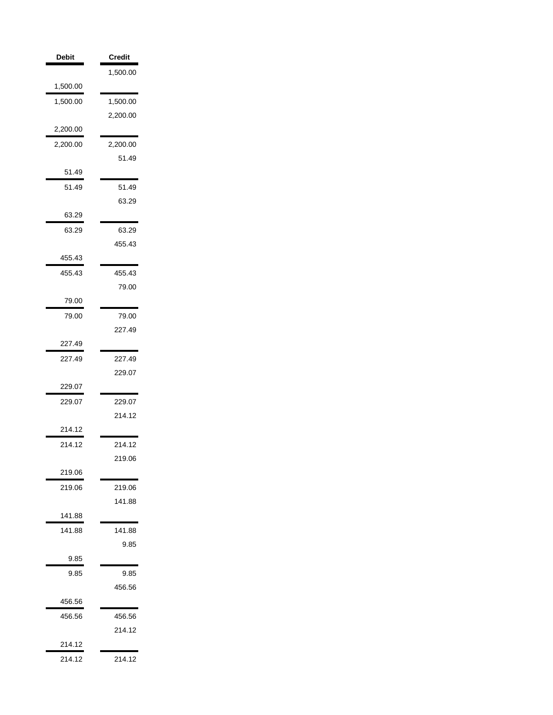| <b>Debit</b> | Credit   |
|--------------|----------|
|              | 1,500.00 |
| 1,500.00     |          |
| 1,500.00     | 1,500.00 |
|              | 2,200.00 |
| 2,200.00     |          |
| 2,200.00     | 2,200.00 |
|              | 51.49    |
| 51.49        |          |
| 51.49        | 51.49    |
|              | 63.29    |
| 63.29        |          |
| 63.29        | 63.29    |
|              | 455.43   |
| 455.43       |          |
| 455.43       | 455.43   |
|              | 79.00    |
| 79.00        |          |
| 79.00        | 79.00    |
|              | 227.49   |
| 227.49       |          |
| 227.49       | 227.49   |
|              | 229.07   |
| 229.07       |          |
| 229.07       | 229.07   |
|              | 214.12   |
| 214.12       |          |
| 214.12       | 214.12   |
|              | 219.06   |
| 219.06       |          |
| 219.06       | 219.06   |
|              | 141.88   |
| 141.88       |          |
| 141.88       | 141.88   |
|              | 9.85     |
| 9.85         |          |
| 9.85         | 9.85     |
|              | 456.56   |
| 456.56       |          |
| 456.56       | 456.56   |
|              | 214.12   |
| 214.12       |          |
| 214.12       | 214.12   |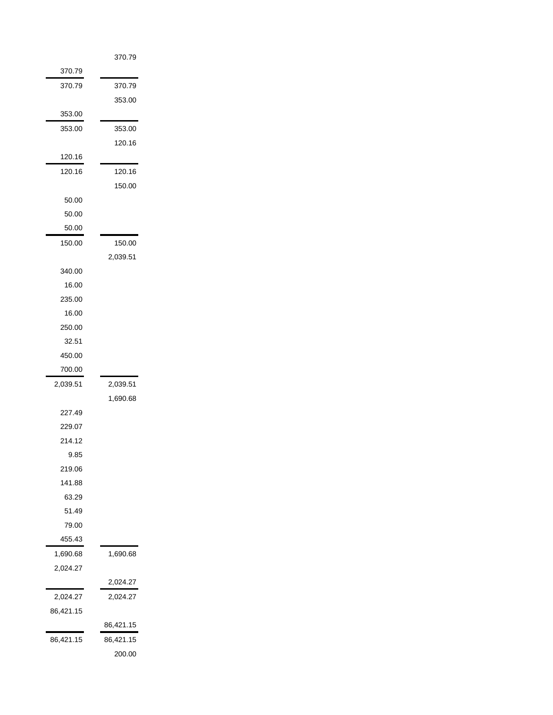|           | 370.79    |
|-----------|-----------|
| 370.79    |           |
| 370.79    | 370.79    |
|           | 353.00    |
| 353.00    |           |
| 353.00    | 353.00    |
|           | 120.16    |
| 120.16    |           |
| 120.16    | 120.16    |
|           | 150.00    |
| 50.00     |           |
| 50.00     |           |
| 50.00     |           |
| 150.00    | 150.00    |
|           | 2,039.51  |
| 340.00    |           |
| 16.00     |           |
| 235.00    |           |
| 16.00     |           |
| 250.00    |           |
| 32.51     |           |
| 450.00    |           |
| 700.00    |           |
| 2,039.51  | 2,039.51  |
| 227.49    | 1,690.68  |
| 229.07    |           |
| 214.12    |           |
| 9.85      |           |
| 219.06    |           |
| 141.88    |           |
| 63.29     |           |
| 51.49     |           |
| 79.00     |           |
| 455.43    |           |
| 1,690.68  | 1,690.68  |
| 2,024.27  |           |
|           | 2,024.27  |
| 2,024.27  | 2,024.27  |
| 86,421.15 |           |
|           | 86,421.15 |
| 86,421.15 | 86,421.15 |
|           | 200.00    |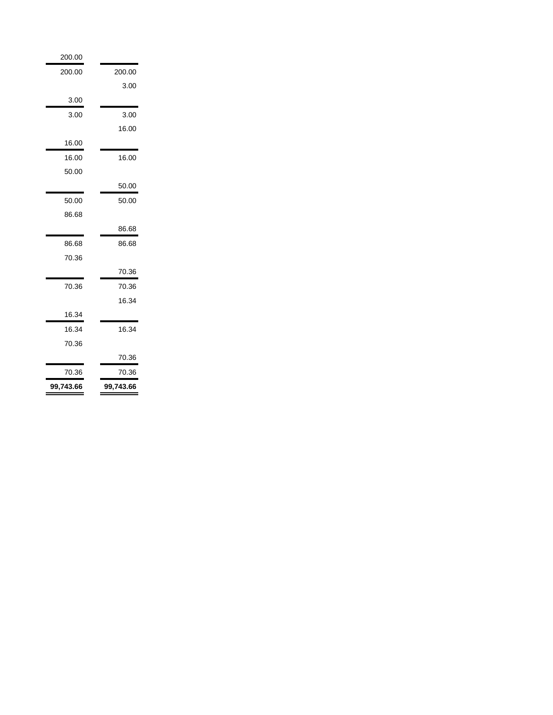| 200.00    |           |
|-----------|-----------|
| 200.00    | 200.00    |
|           | 3.00      |
| 3.00      |           |
| 3.00      | 3.00      |
|           | 16.00     |
| 16.00     |           |
| 16.00     | 16.00     |
| 50.00     |           |
|           | 50.00     |
| 50.00     | 50.00     |
| 86.68     |           |
|           | 86.68     |
| 86.68     | 86.68     |
| 70.36     |           |
|           | 70.36     |
| 70.36     | 70.36     |
|           | 16.34     |
| 16.34     |           |
| 16.34     | 16.34     |
| 70.36     |           |
|           | 70.36     |
| 70.36     | 70.36     |
| 99,743.66 | 99,743.66 |
|           |           |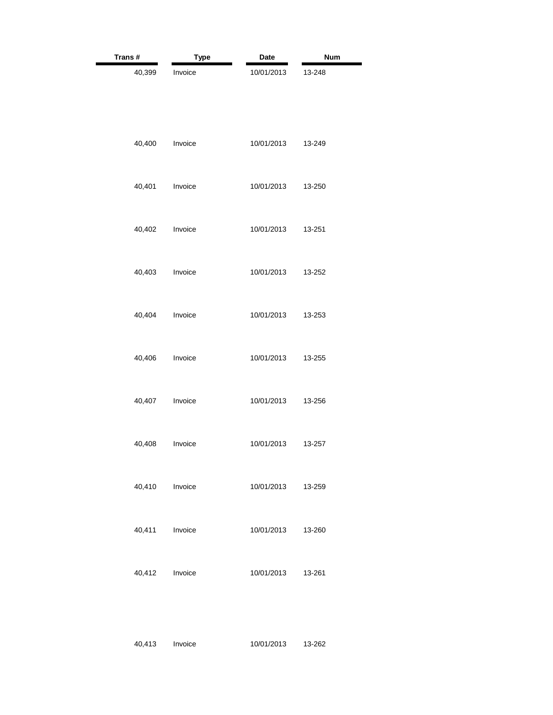| Trans#         | <b>Type</b> | Date       | <b>Num</b> |
|----------------|-------------|------------|------------|
| 40,399         | Invoice     | 10/01/2013 | 13-248     |
| 40,400         | Invoice     | 10/01/2013 | 13-249     |
| 40,401         | Invoice     | 10/01/2013 | 13-250     |
| 40,402         | Invoice     | 10/01/2013 | 13-251     |
| 40,403         | Invoice     | 10/01/2013 | 13-252     |
| 40,404         | Invoice     | 10/01/2013 | 13-253     |
| 40,406         | Invoice     | 10/01/2013 | 13-255     |
| 40,407         | Invoice     | 10/01/2013 | 13-256     |
| 40,408         | Invoice     | 10/01/2013 | 13-257     |
| 40,410 Invoice |             | 10/01/2013 | 13-259     |
| 40,411         | Invoice     | 10/01/2013 | 13-260     |
| 40,412 Invoice |             | 10/01/2013 | 13-261     |

40,413 Invoice 10/01/2013 13-262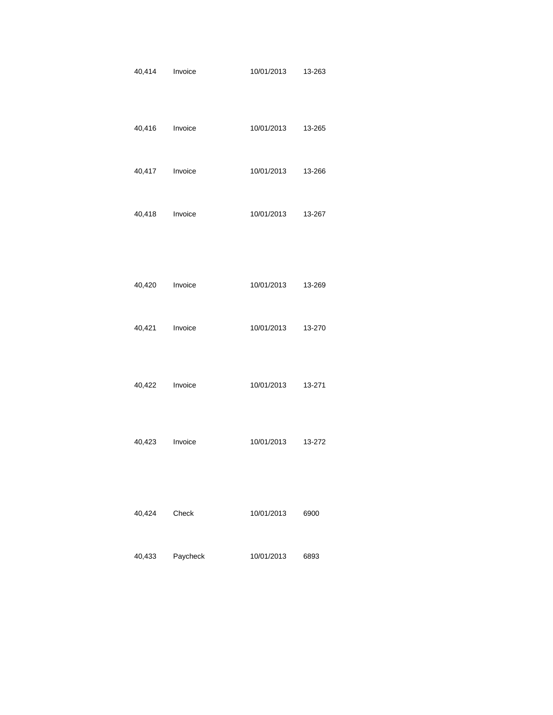| 40,414 Invoice |          | 10/01/2013         | 13-263 |
|----------------|----------|--------------------|--------|
| 40,416 Invoice |          | 10/01/2013 13-265  |        |
| 40,417 Invoice |          | 10/01/2013 13-266  |        |
| 40,418 Invoice |          | 10/01/2013  13-267 |        |
|                |          |                    |        |
| 40,420 Invoice |          | 10/01/2013 13-269  |        |
| 40,421 Invoice |          | 10/01/2013 13-270  |        |
| 40,422 Invoice |          | 10/01/2013  13-271 |        |
| 40,423 Invoice |          | 10/01/2013 13-272  |        |
| 40,424 Check   |          | 10/01/2013         | 6900   |
| 40,433         | Paycheck | 10/01/2013         | 6893   |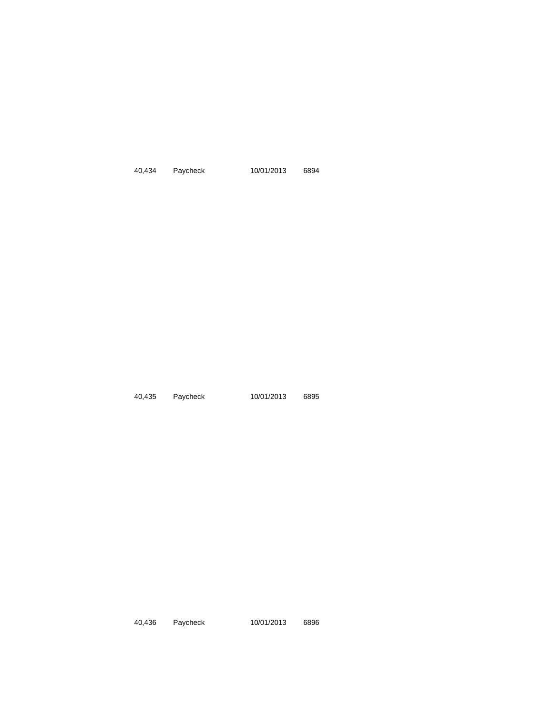40,434 Paycheck 10/01/2013 6894

40,435 Paycheck 10/01/2013 6895

40,436 Paycheck 10/01/2013 6896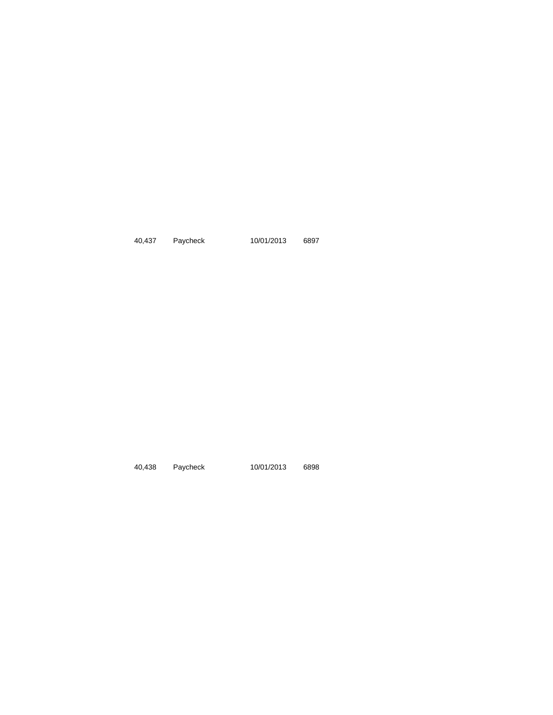40,437 Paycheck 10/01/2013 6897

40,438 Paycheck 10/01/2013 6898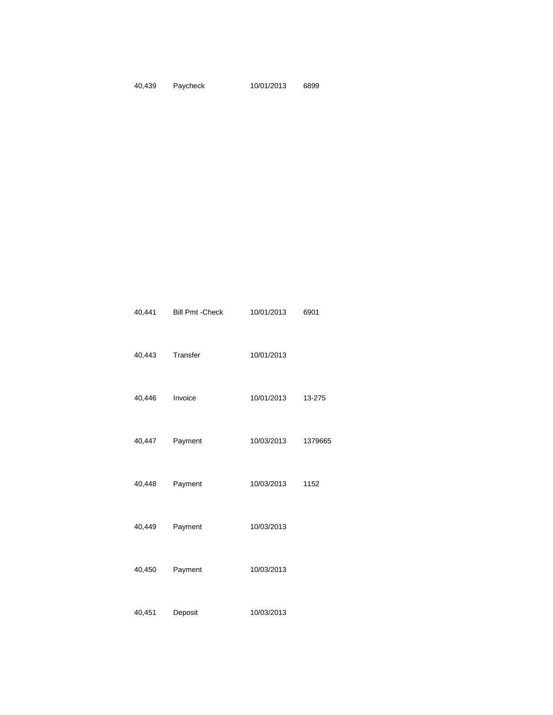#### 40,439 Paycheck 10/01/2013 6899

|                | 40,441 Bill Pmt - Check | 10/01/2013         | 6901 |
|----------------|-------------------------|--------------------|------|
|                | 40,443 Transfer         | 10/01/2013         |      |
| 40,446 Invoice |                         | 10/01/2013 13-275  |      |
|                | 40,447 Payment          | 10/03/2013 1379665 |      |
| 40,448         | Payment                 | 10/03/2013 1152    |      |
|                | 40,449 Payment          | 10/03/2013         |      |
|                | 40,450 Payment          | 10/03/2013         |      |
| 40,451         | Deposit                 | 10/03/2013         |      |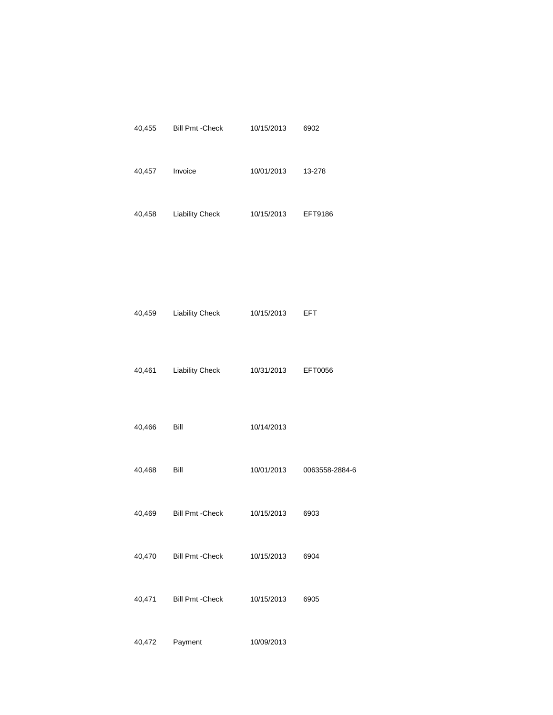|                | 40,455 Bill Pmt - Check | 10/15/2013 6902    |                           |
|----------------|-------------------------|--------------------|---------------------------|
| 40,457 Invoice |                         | 10/01/2013 13-278  |                           |
|                | 40,458 Liability Check  | 10/15/2013 EFT9186 |                           |
|                |                         |                    |                           |
|                |                         |                    |                           |
| 40,459         | <b>Liability Check</b>  | 10/15/2013 EFT     |                           |
| 40,461         | <b>Liability Check</b>  | 10/31/2013 EFT0056 |                           |
|                |                         |                    |                           |
| 40,466 Bill    |                         | 10/14/2013         |                           |
| 40,468 Bill    |                         |                    | 10/01/2013 0063558-2884-6 |
|                | 40,469 Bill Pmt - Check | 10/15/2013 6903    |                           |
|                | 40,470 Bill Pmt - Check | 10/15/2013 6904    |                           |
|                | 40,471 Bill Pmt - Check | 10/15/2013 6905    |                           |
|                |                         |                    |                           |

40,472 Payment 10/09/2013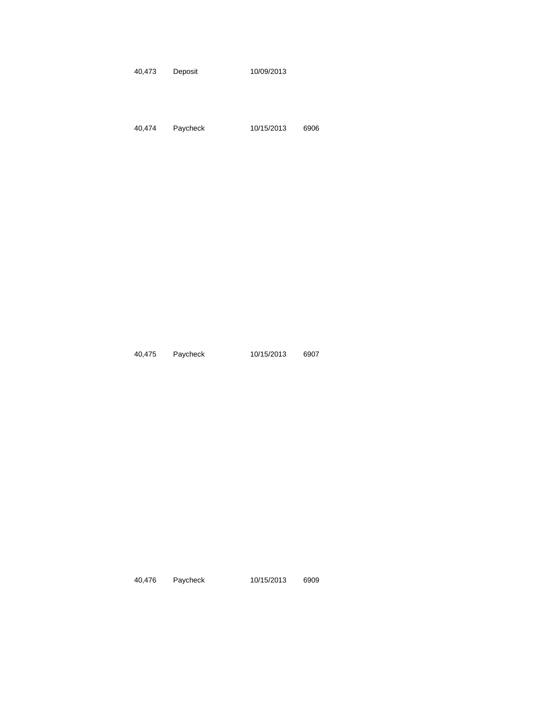40,473 Deposit 10/09/2013

40,474 Paycheck 10/15/2013 6906

40,475 Paycheck 10/15/2013 6907

40,476 Paycheck 10/15/2013 6909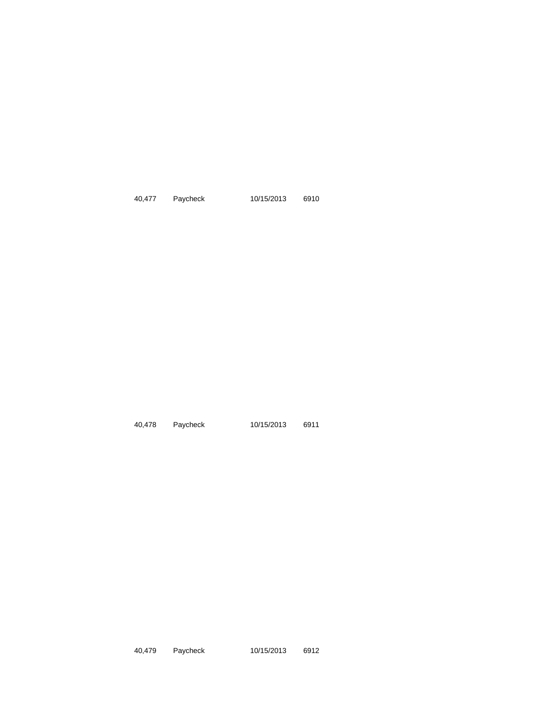40,477 Paycheck 10/15/2013 6910

40,478 Paycheck 10/15/2013 6911

40,479 Paycheck 10/15/2013 6912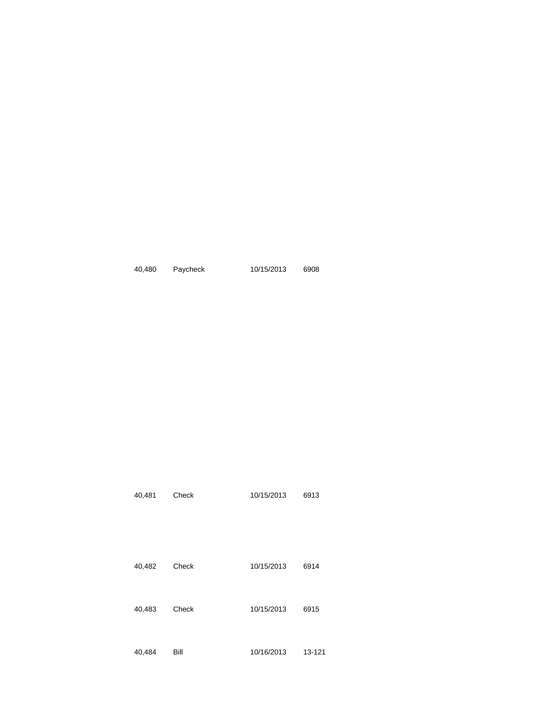| 40.480 | Paycheck | 10/15/2013 | 6908 |
|--------|----------|------------|------|
|        |          |            |      |

| 40,481 | Check | 10/15/2013 | 6913   |
|--------|-------|------------|--------|
| 40,482 | Check | 10/15/2013 | 6914   |
| 40,483 | Check | 10/15/2013 | 6915   |
| 40,484 | Bill  | 10/16/2013 | 13-121 |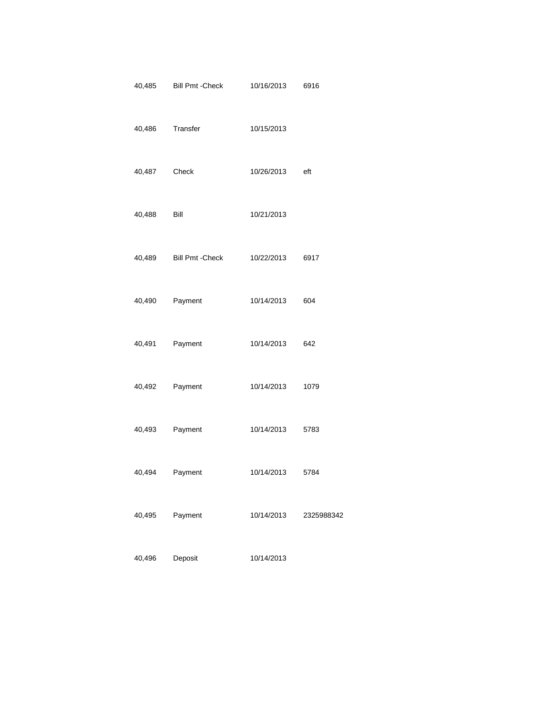| 40,485       | <b>Bill Pmt - Check</b> | 10/16/2013     | 6916       |
|--------------|-------------------------|----------------|------------|
| 40,486       | Transfer                | 10/15/2013     |            |
| 40,487 Check |                         | 10/26/2013 eft |            |
| 40,488       | <b>Bill</b>             | 10/21/2013     |            |
|              | 40,489 Bill Pmt - Check | 10/22/2013     | 6917       |
| 40,490       | Payment                 | 10/14/2013     | 604        |
| 40,491       | Payment                 | 10/14/2013     | 642        |
| 40,492       | Payment                 | 10/14/2013     | 1079       |
| 40,493       | Payment                 | 10/14/2013     | 5783       |
| 40,494       | Payment                 | 10/14/2013     | 5784       |
| 40,495       | Payment                 | 10/14/2013     | 2325988342 |
| 40,496       | Deposit                 | 10/14/2013     |            |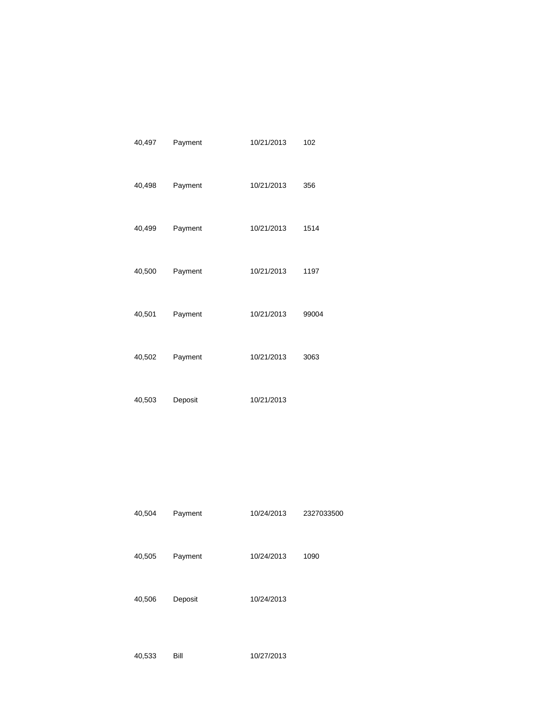| 40,497 | Payment | 10/21/2013 | 102   |
|--------|---------|------------|-------|
| 40,498 | Payment | 10/21/2013 | 356   |
| 40,499 | Payment | 10/21/2013 | 1514  |
| 40,500 | Payment | 10/21/2013 | 1197  |
| 40,501 | Payment | 10/21/2013 | 99004 |
| 40,502 | Payment | 10/21/2013 | 3063  |
| 40,503 | Deposit | 10/21/2013 |       |

| 40,504 | Payment | 10/24/2013 | 2327033500 |
|--------|---------|------------|------------|
|        |         |            |            |
|        |         |            |            |
| 40,505 | Payment | 10/24/2013 | 1090       |
|        |         |            |            |
|        |         |            |            |

40,506 Deposit 10/24/2013

```
40,533 Bill 10/27/2013
```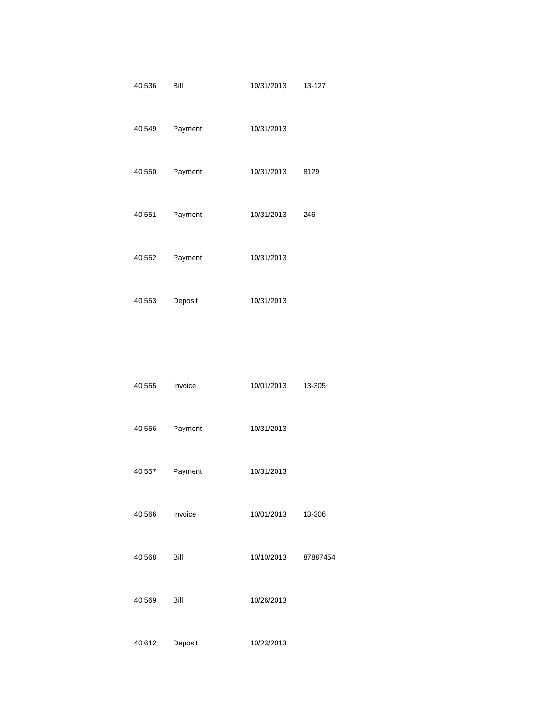| 40,536 | Bill    | 10/31/2013 | 13-127 |
|--------|---------|------------|--------|
| 40,549 | Payment | 10/31/2013 |        |
| 40,550 | Payment | 10/31/2013 | 8129   |
| 40,551 | Payment | 10/31/2013 | 246    |
| 40,552 | Payment | 10/31/2013 |        |

40,553 Deposit 10/31/2013

| 40,555 | Invoice | 10/01/2013 | 13-305 |
|--------|---------|------------|--------|
|        |         |            |        |
|        |         |            |        |
| 40,556 | Payment | 10/31/2013 |        |
|        |         |            |        |
|        |         |            |        |

- 40,557 Payment 10/31/2013
- 40,566 Invoice 10/01/2013 13-306
- 40,568 Bill 10/10/2013 87887454
- 40,569 Bill 10/26/2013
- 

40,612 Deposit 10/23/2013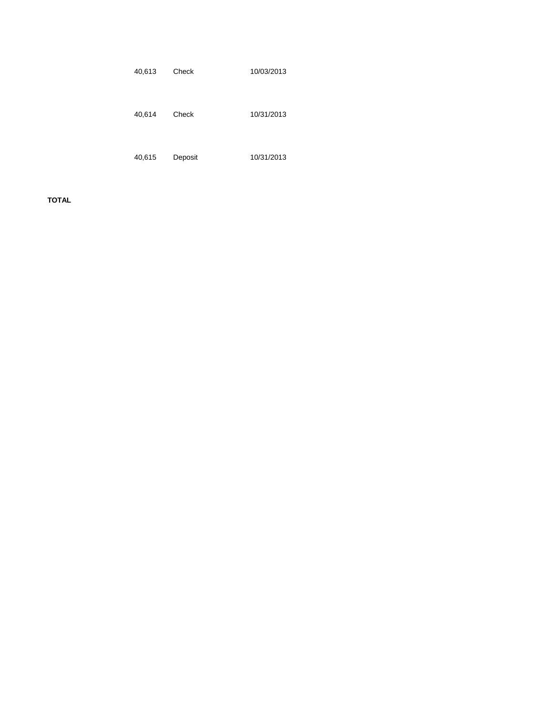| 40,613 | Check   | 10/03/2013 |
|--------|---------|------------|
| 40,614 | Check   | 10/31/2013 |
| 40,615 | Deposit | 10/31/2013 |

**TOTAL**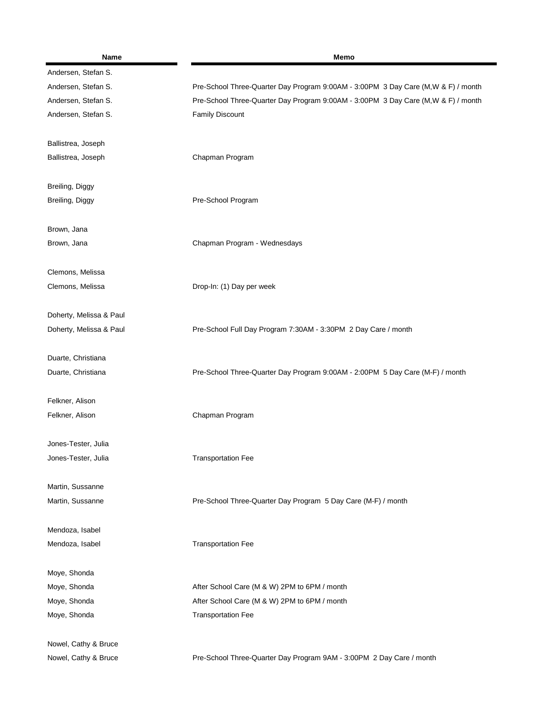| Name                    | Memo                                                                               |
|-------------------------|------------------------------------------------------------------------------------|
| Andersen, Stefan S.     |                                                                                    |
| Andersen, Stefan S.     | Pre-School Three-Quarter Day Program 9:00AM - 3:00PM 3 Day Care (M, W & F) / month |
| Andersen, Stefan S.     | Pre-School Three-Quarter Day Program 9:00AM - 3:00PM 3 Day Care (M, W & F) / month |
| Andersen, Stefan S.     | <b>Family Discount</b>                                                             |
| Ballistrea, Joseph      |                                                                                    |
| Ballistrea, Joseph      | Chapman Program                                                                    |
| Breiling, Diggy         |                                                                                    |
| Breiling, Diggy         | Pre-School Program                                                                 |
| Brown, Jana             |                                                                                    |
| Brown, Jana             | Chapman Program - Wednesdays                                                       |
| Clemons, Melissa        |                                                                                    |
| Clemons, Melissa        | Drop-In: (1) Day per week                                                          |
| Doherty, Melissa & Paul |                                                                                    |
| Doherty, Melissa & Paul | Pre-School Full Day Program 7:30AM - 3:30PM 2 Day Care / month                     |
| Duarte, Christiana      |                                                                                    |
| Duarte, Christiana      | Pre-School Three-Quarter Day Program 9:00AM - 2:00PM 5 Day Care (M-F) / month      |
| Felkner, Alison         |                                                                                    |
| Felkner, Alison         | Chapman Program                                                                    |
| Jones-Tester, Julia     |                                                                                    |
| Jones-Tester, Julia     | <b>Transportation Fee</b>                                                          |
| Martin, Sussanne        |                                                                                    |
| Martin, Sussanne        | Pre-School Three-Quarter Day Program 5 Day Care (M-F) / month                      |
| Mendoza, Isabel         |                                                                                    |
| Mendoza, Isabel         | <b>Transportation Fee</b>                                                          |
| Moye, Shonda            |                                                                                    |
| Moye, Shonda            | After School Care (M & W) 2PM to 6PM / month                                       |
| Moye, Shonda            | After School Care (M & W) 2PM to 6PM / month                                       |
| Moye, Shonda            | <b>Transportation Fee</b>                                                          |
| Nowel, Cathy & Bruce    |                                                                                    |
| Nowel, Cathy & Bruce    | Pre-School Three-Quarter Day Program 9AM - 3:00PM 2 Day Care / month               |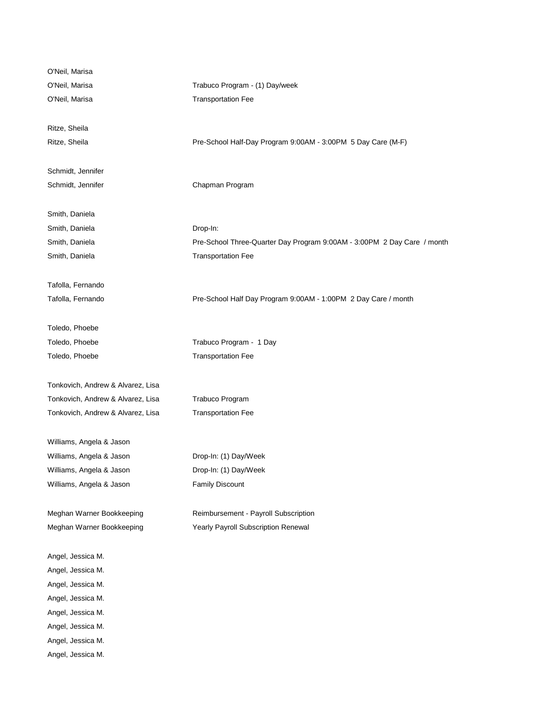| O'Neil, Marisa                    |                                                                         |
|-----------------------------------|-------------------------------------------------------------------------|
| O'Neil, Marisa                    | Trabuco Program - (1) Day/week                                          |
| O'Neil, Marisa                    | <b>Transportation Fee</b>                                               |
|                                   |                                                                         |
| Ritze, Sheila                     |                                                                         |
| Ritze, Sheila                     | Pre-School Half-Day Program 9:00AM - 3:00PM 5 Day Care (M-F)            |
|                                   |                                                                         |
| Schmidt, Jennifer                 |                                                                         |
| Schmidt, Jennifer                 | Chapman Program                                                         |
|                                   |                                                                         |
| Smith, Daniela                    |                                                                         |
| Smith, Daniela                    | Drop-In:                                                                |
| Smith, Daniela                    | Pre-School Three-Quarter Day Program 9:00AM - 3:00PM 2 Day Care / month |
| Smith, Daniela                    | <b>Transportation Fee</b>                                               |
|                                   |                                                                         |
| Tafolla, Fernando                 |                                                                         |
| Tafolla, Fernando                 | Pre-School Half Day Program 9:00AM - 1:00PM 2 Day Care / month          |
| Toledo, Phoebe                    |                                                                         |
| Toledo, Phoebe                    | Trabuco Program - 1 Day                                                 |
| Toledo, Phoebe                    | <b>Transportation Fee</b>                                               |
|                                   |                                                                         |
| Tonkovich, Andrew & Alvarez, Lisa |                                                                         |
| Tonkovich, Andrew & Alvarez, Lisa | Trabuco Program                                                         |
| Tonkovich, Andrew & Alvarez, Lisa | <b>Transportation Fee</b>                                               |
|                                   |                                                                         |
| Williams, Angela & Jason          |                                                                         |
| Williams, Angela & Jason          | Drop-In: (1) Day/Week                                                   |
| Williams, Angela & Jason          | Drop-In: (1) Day/Week                                                   |
| Williams, Angela & Jason          | <b>Family Discount</b>                                                  |
|                                   |                                                                         |
| Meghan Warner Bookkeeping         | Reimbursement - Payroll Subscription                                    |
| Meghan Warner Bookkeeping         | Yearly Payroll Subscription Renewal                                     |
| Angel, Jessica M.                 |                                                                         |
| Angel, Jessica M.                 |                                                                         |
| Angel, Jessica M.                 |                                                                         |
| Angel, Jessica M.                 |                                                                         |
|                                   |                                                                         |
| Angel, Jessica M.                 |                                                                         |
| Angel, Jessica M.                 |                                                                         |
| Angel, Jessica M.                 |                                                                         |
| Angel, Jessica M.                 |                                                                         |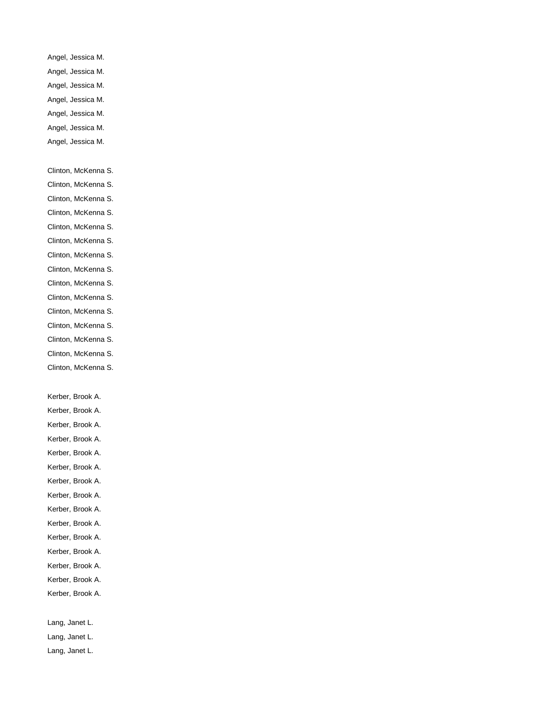- Angel, Jessica M. Angel, Jessica M.
- 
- Angel, Jessica M.
- Angel, Jessica M.
- Angel, Jessica M.
- Angel, Jessica M. Angel, Jessica M.
- 
- Clinton, McKenna S.
- Clinton, McKenna S.
- Clinton, McKenna S.
- Clinton, McKenna S.
- Clinton, McKenna S.
- Clinton, McKenna S. Clinton, McKenna S.
- Clinton, McKenna S.
- Clinton, McKenna S.
- Clinton, McKenna S.
- Clinton, McKenna S.
- Clinton, McKenna S.
- Clinton, McKenna S.
- Clinton, McKenna S.
- Clinton, McKenna S.

Kerber, Brook A.

- Kerber, Brook A.
- Kerber, Brook A.
- Kerber, Brook A.
- Kerber, Brook A.
- Kerber, Brook A.
- Kerber, Brook A.
- Kerber, Brook A.
- Kerber, Brook A.
- Kerber, Brook A.
- Kerber, Brook A.
- Kerber, Brook A.
- Kerber, Brook A.
- Kerber, Brook A.
- Kerber, Brook A.
- Lang, Janet L.
- Lang, Janet L.
- Lang, Janet L.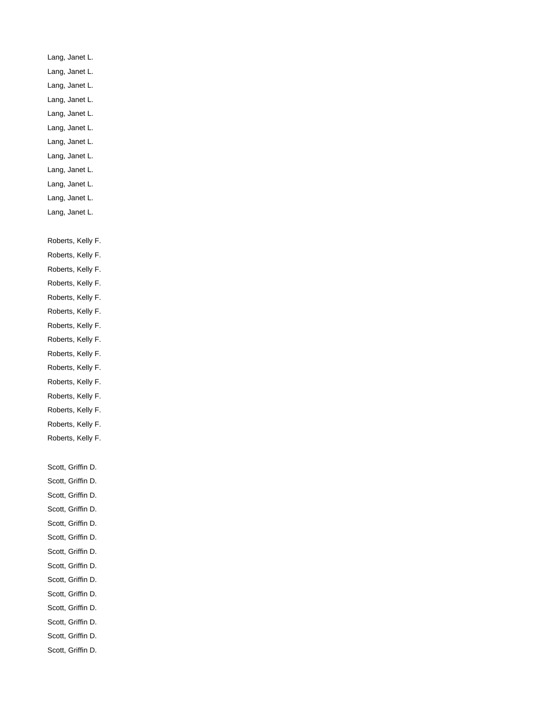- Lang, Janet L. Lang, Janet L.
- Lang, Janet L.
- Lang, Janet L.
- Lang, Janet L.
- Lang, Janet L. Lang, Janet L.
- Lang, Janet L.
- Lang, Janet L.
- Lang, Janet L.
- Lang, Janet L.
- Lang, Janet L.
- Roberts, Kelly F.
- Roberts, Kelly F.
- Roberts, Kelly F.
- Roberts, Kelly F.
- Roberts, Kelly F.
- Roberts, Kelly F.
- Roberts, Kelly F.
- Roberts, Kelly F. Roberts, Kelly F.
- Roberts, Kelly F.
- Roberts, Kelly F.
- Roberts, Kelly F.
- Roberts, Kelly F.
- Roberts, Kelly F.
- Roberts, Kelly F.
- Scott, Griffin D.
- Scott, Griffin D.
- Scott, Griffin D.
- Scott, Griffin D.
- Scott, Griffin D.
- Scott, Griffin D.
- Scott, Griffin D.
- Scott, Griffin D.
- Scott, Griffin D.
- Scott, Griffin D.
- Scott, Griffin D.
- Scott, Griffin D.
- Scott, Griffin D.
- Scott, Griffin D.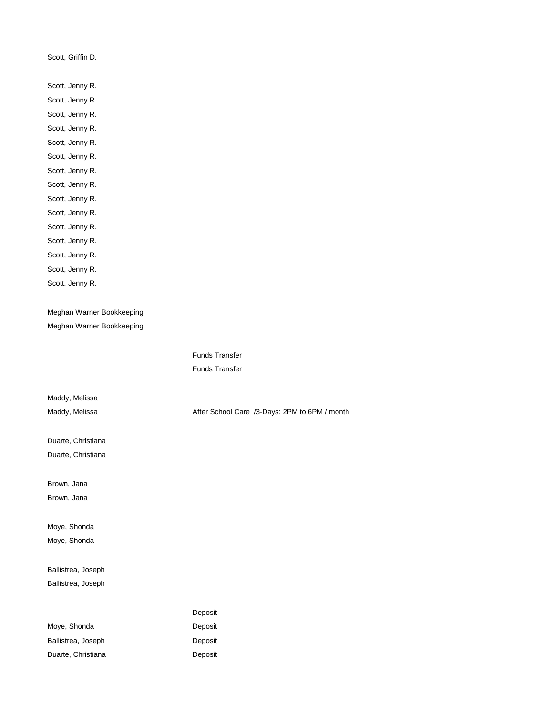Scott, Griffin D.

Scott, Jenny R. Scott, Jenny R. Scott, Jenny R. Scott, Jenny R. Scott, Jenny R. Scott, Jenny R. Scott, Jenny R. Scott, Jenny R. Scott, Jenny R. Scott, Jenny R. Scott, Jenny R. Scott, Jenny R. Scott, Jenny R. Scott, Jenny R. Scott, Jenny R.

Meghan Warner Bookkeeping Meghan Warner Bookkeeping

Maddy, Melissa

Duarte, Christiana Duarte, Christiana

Brown, Jana

Brown, Jana

Moye, Shonda Moye, Shonda

Ballistrea, Joseph Ballistrea, Joseph

|                    | Deposit |
|--------------------|---------|
| Move, Shonda       | Deposit |
| Ballistrea, Joseph | Deposit |
| Duarte, Christiana | Deposit |

Funds Transfer Funds Transfer

Maddy, Melissa **After School Care /3-Days: 2PM to 6PM / month**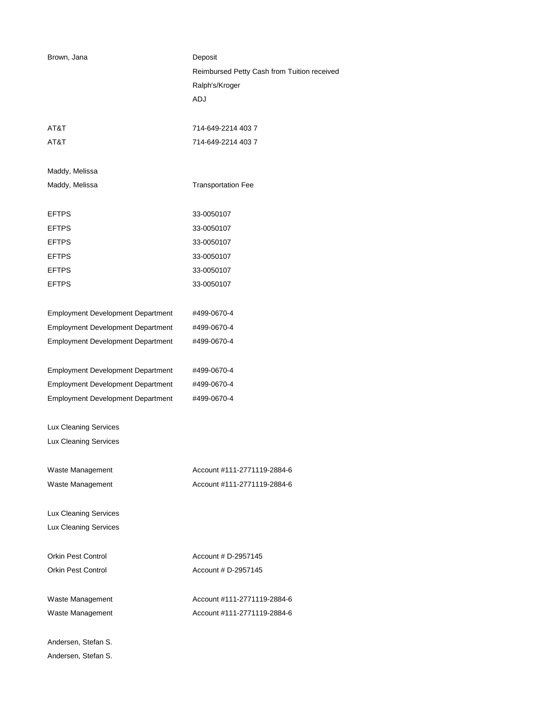| Brown, Jana                              | Deposit                                     |
|------------------------------------------|---------------------------------------------|
|                                          | Reimbursed Petty Cash from Tuition received |
|                                          | Ralph's/Kroger                              |
|                                          | ADJ                                         |
| AT&T                                     | 714-649-2214 403 7                          |
| AT&T                                     | 714-649-2214 403 7                          |
| Maddy, Melissa                           |                                             |
| Maddy, Melissa                           | <b>Transportation Fee</b>                   |
| <b>EFTPS</b>                             | 33-0050107                                  |
| <b>EFTPS</b>                             | 33-0050107                                  |
| <b>EFTPS</b>                             | 33-0050107                                  |
| <b>EFTPS</b>                             | 33-0050107                                  |
| <b>EFTPS</b>                             | 33-0050107                                  |
| <b>EFTPS</b>                             | 33-0050107                                  |
| <b>Employment Development Department</b> | #499-0670-4                                 |
| <b>Employment Development Department</b> | #499-0670-4                                 |
| <b>Employment Development Department</b> | #499-0670-4                                 |
| <b>Employment Development Department</b> | #499-0670-4                                 |
| <b>Employment Development Department</b> | #499-0670-4                                 |
| <b>Employment Development Department</b> | #499-0670-4                                 |
| <b>Lux Cleaning Services</b>             |                                             |
| Lux Cleaning Services                    |                                             |
| Waste Management                         | Account #111-2771119-2884-6                 |
| Waste Management                         | Account #111-2771119-2884-6                 |
| Lux Cleaning Services                    |                                             |
| Lux Cleaning Services                    |                                             |
| <b>Orkin Pest Control</b>                | Account # D-2957145                         |
| <b>Orkin Pest Control</b>                | Account # D-2957145                         |
| Waste Management                         | Account #111-2771119-2884-6                 |
| Waste Management                         | Account #111-2771119-2884-6                 |
| Andersen, Stefan S.                      |                                             |

Andersen, Stefan S.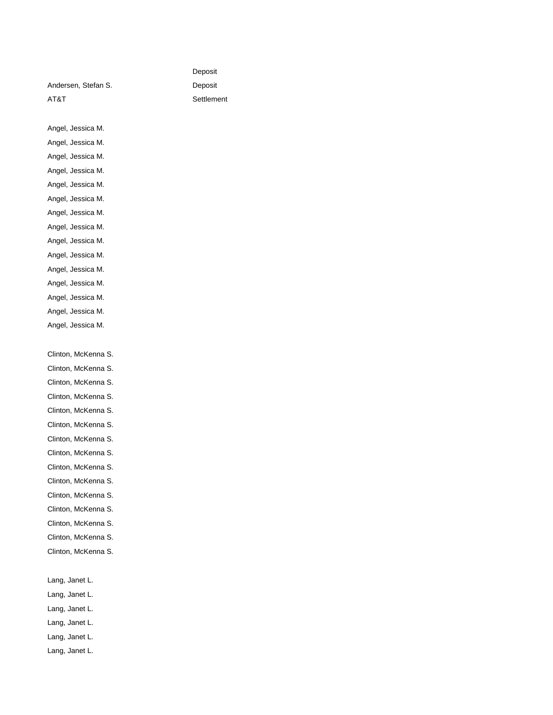Andersen, Stefan S. Deposit AT&T Settlement

Deposit

Angel, Jessica M. Angel, Jessica M. Angel, Jessica M.

Angel, Jessica M.

Angel, Jessica M.

Angel, Jessica M.

Angel, Jessica M.

Angel, Jessica M. Angel, Jessica M.

Angel, Jessica M.

Angel, Jessica M.

Angel, Jessica M.

Angel, Jessica M.

Angel, Jessica M.

Angel, Jessica M.

Clinton, McKenna S.

Clinton, McKenna S.

Clinton, McKenna S.

Clinton, McKenna S.

Clinton, McKenna S.

Clinton, McKenna S.

Clinton, McKenna S. Clinton, McKenna S.

Clinton, McKenna S.

Clinton, McKenna S.

Clinton, McKenna S.

Clinton, McKenna S.

Clinton, McKenna S.

Clinton, McKenna S.

Clinton, McKenna S.

Lang, Janet L.

Lang, Janet L.

Lang, Janet L.

Lang, Janet L.

Lang, Janet L.

Lang, Janet L.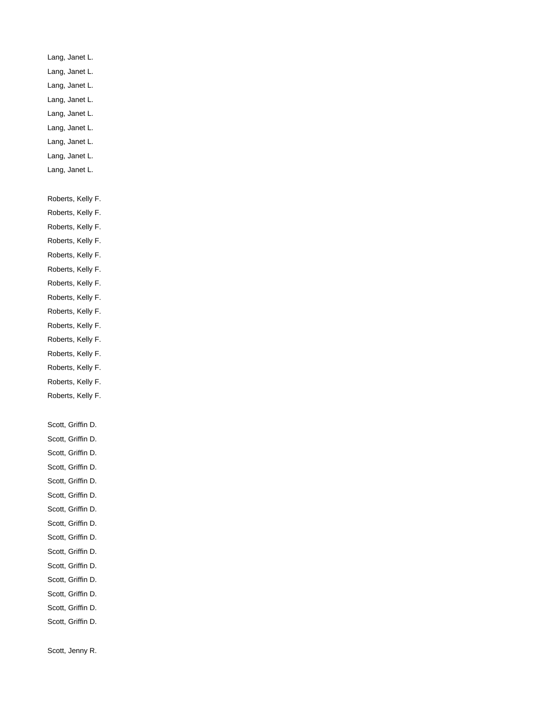- Lang, Janet L.
- Lang, Janet L.
- Lang, Janet L.
- Lang, Janet L.
- Lang, Janet L.
- Lang, Janet L.
- Lang, Janet L.
- Lang, Janet L.
- Lang, Janet L.

Roberts, Kelly F.

- Roberts, Kelly F.
- Roberts, Kelly F.
- Roberts, Kelly F.
- Roberts, Kelly F.
- Roberts, Kelly F.
- Roberts, Kelly F.
- Roberts, Kelly F.
- Roberts, Kelly F.
- Roberts, Kelly F.
- Roberts, Kelly F.
- Roberts, Kelly F.
- Roberts, Kelly F.
- Roberts, Kelly F.
- Roberts, Kelly F.

Scott, Griffin D.

- Scott, Griffin D.
- Scott, Griffin D.
- Scott, Griffin D.
- Scott, Griffin D.
- Scott, Griffin D.
- Scott, Griffin D.
- Scott, Griffin D.
- Scott, Griffin D.
- Scott, Griffin D.
- Scott, Griffin D.
- Scott, Griffin D.
- Scott, Griffin D.
- Scott, Griffin D.
- Scott, Griffin D.

Scott, Jenny R.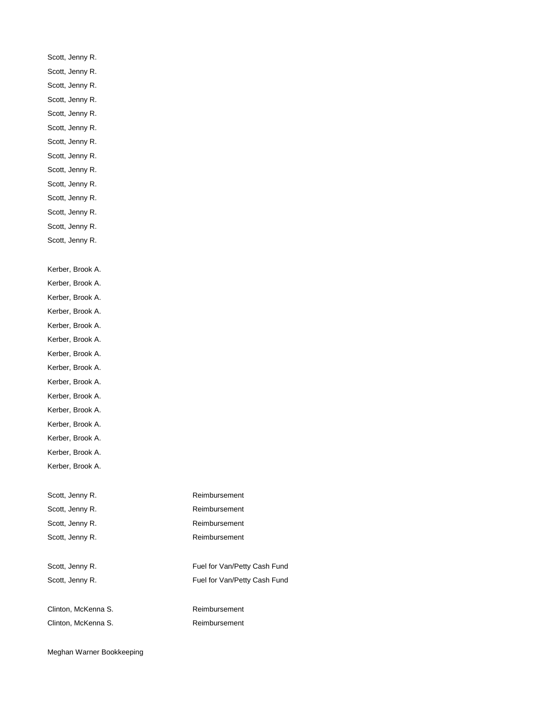- Scott, Jenny R.
- Scott, Jenny R.
- Scott, Jenny R.
- Scott, Jenny R.
- Scott, Jenny R.
- Scott, Jenny R. Scott, Jenny R.
- Scott, Jenny R.
- Scott, Jenny R.
- Scott, Jenny R.
- Scott, Jenny R.
- Scott, Jenny R.
- Scott, Jenny R.
- Scott, Jenny R.
- Kerber, Brook A.
- Kerber, Brook A.
- Kerber, Brook A.
- Kerber, Brook A.
- Kerber, Brook A.
- Kerber, Brook A.
- Kerber, Brook A.
- Kerber, Brook A.
- Kerber, Brook A.
- Kerber, Brook A.
- Kerber, Brook A.
- Kerber, Brook A.
- Kerber, Brook A.
- Kerber, Brook A.
- Kerber, Brook A.
- Scott, Jenny R. **Reimbursement** Scott, Jenny R. **Reimbursement** Scott, Jenny R. **Reimbursement**
- 
- 
- Clinton, McKenna S. Reimbursement
- Scott, Jenny R. **Reimbursement** Scott, Jenny R. **Fuel for Van/Petty Cash Fund** Scott, Jenny R. **Fuel for Van/Petty Cash Fund**
- Clinton, McKenna S. **Reimbursement**
- Meghan Warner Bookkeeping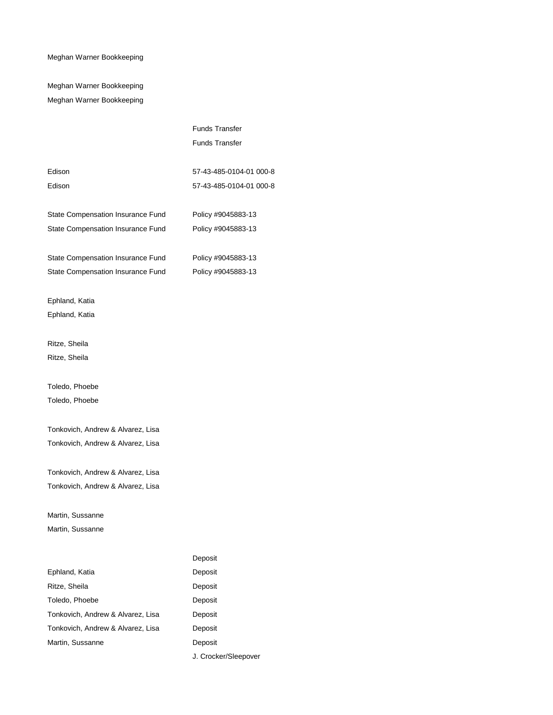Meghan Warner Bookkeeping Meghan Warner Bookkeeping

|                                   | <b>Funds Transfer</b>   |
|-----------------------------------|-------------------------|
|                                   | <b>Funds Transfer</b>   |
|                                   |                         |
| Edison                            | 57-43-485-0104-01 000-8 |
| Edison                            | 57-43-485-0104-01 000-8 |
|                                   |                         |
| State Compensation Insurance Fund | Policy #9045883-13      |
| State Compensation Insurance Fund | Policy #9045883-13      |
|                                   |                         |
| State Compensation Insurance Fund | Policy #9045883-13      |
| State Compensation Insurance Fund | Policy #9045883-13      |
| Ephland, Katia                    |                         |
| Ephland, Katia                    |                         |
|                                   |                         |
| Ritze, Sheila                     |                         |
| Ritze, Sheila                     |                         |
| Toledo, Phoebe                    |                         |
| Toledo, Phoebe                    |                         |
|                                   |                         |
| Tonkovich, Andrew & Alvarez, Lisa |                         |
| Tonkovich, Andrew & Alvarez, Lisa |                         |
|                                   |                         |
| Tonkovich, Andrew & Alvarez, Lisa |                         |
| Tonkovich, Andrew & Alvarez, Lisa |                         |
| Martin, Sussanne                  |                         |
| Martin, Sussanne                  |                         |
|                                   |                         |
|                                   | Deposit                 |
| Ephland, Katia                    | Deposit                 |
|                                   |                         |

| Ritze, Sheila                     | Deposit |
|-----------------------------------|---------|
| Toledo, Phoebe                    | Deposit |
| Tonkovich, Andrew & Alvarez, Lisa | Deposit |
| Tonkovich, Andrew & Alvarez, Lisa | Deposit |
| Martin, Sussanne                  | Deposit |
|                                   |         |

J. Crocker/Sleepover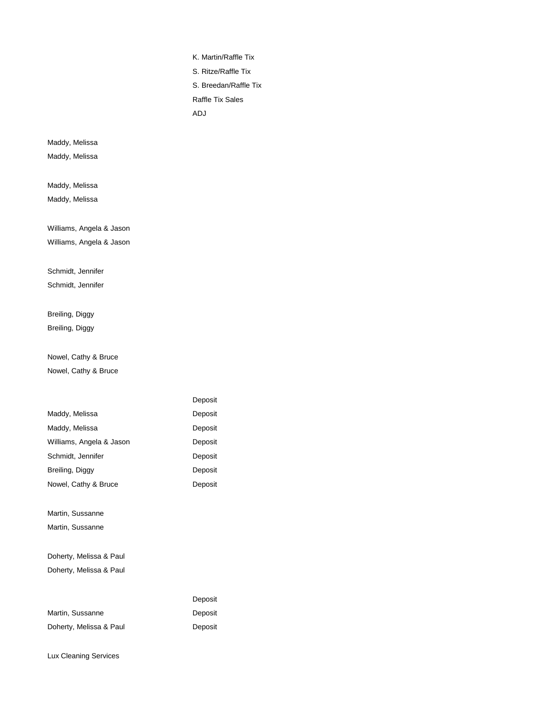K. Martin/Raffle Tix

S. Ritze/Raffle Tix S. Breedan/Raffle Tix

Raffle Tix Sales

ADJ

Maddy, Melissa

Maddy, Melissa

Maddy, Melissa

Maddy, Melissa

Williams, Angela & Jason Williams, Angela & Jason

#### Schmidt, Jennifer

Schmidt, Jennifer

# Breiling, Diggy Breiling, Diggy

Nowel, Cathy & Bruce Nowel, Cathy & Bruce

|                          | Deposit |
|--------------------------|---------|
| Maddy, Melissa           | Deposit |
| Maddy, Melissa           | Deposit |
| Williams, Angela & Jason | Deposit |
| Schmidt, Jennifer        | Deposit |
| Breiling, Diggy          | Deposit |
| Nowel, Cathy & Bruce     | Deposit |
|                          |         |
| Martin, Sussanne         |         |
| Martin, Sussanne         |         |
|                          |         |
| Doherty, Melissa & Paul  |         |
| Doherty, Melissa & Paul  |         |
|                          |         |
|                          | Deposit |
| Martin, Sussanne         | Deposit |
| Doherty, Melissa & Paul  | Deposit |
|                          |         |

Lux Cleaning Services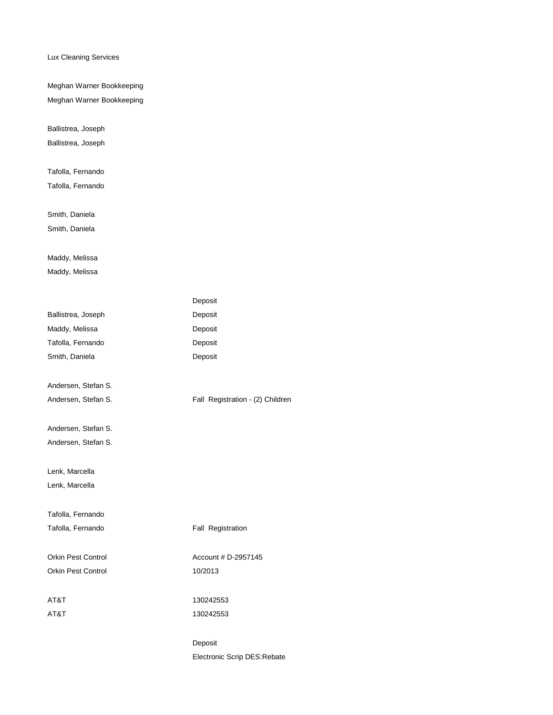Lux Cleaning Services

Meghan Warner Bookkeeping Meghan Warner Bookkeeping

Ballistrea, Joseph

Ballistrea, Joseph

Tafolla, Fernando

Tafolla, Fernando

Smith, Daniela Smith, Daniela

# Maddy, Melissa

Maddy, Melissa

|                           | Deposit                          |
|---------------------------|----------------------------------|
| Ballistrea, Joseph        | Deposit                          |
| Maddy, Melissa            | Deposit                          |
| Tafolla, Fernando         | Deposit                          |
| Smith, Daniela            | Deposit                          |
| Andersen, Stefan S.       |                                  |
| Andersen, Stefan S.       | Fall Registration - (2) Children |
| Andersen, Stefan S.       |                                  |
| Andersen, Stefan S.       |                                  |
| Lenk, Marcella            |                                  |
| Lenk, Marcella            |                                  |
| Tafolla, Fernando         |                                  |
| Tafolla, Fernando         | Fall Registration                |
| <b>Orkin Pest Control</b> | Account # D-2957145              |
| Orkin Pest Control        | 10/2013                          |
| AT&T                      | 130242553                        |
| AT&T                      | 130242553                        |
|                           | Deposit                          |
|                           | Electronic Scrip DES:Rebate      |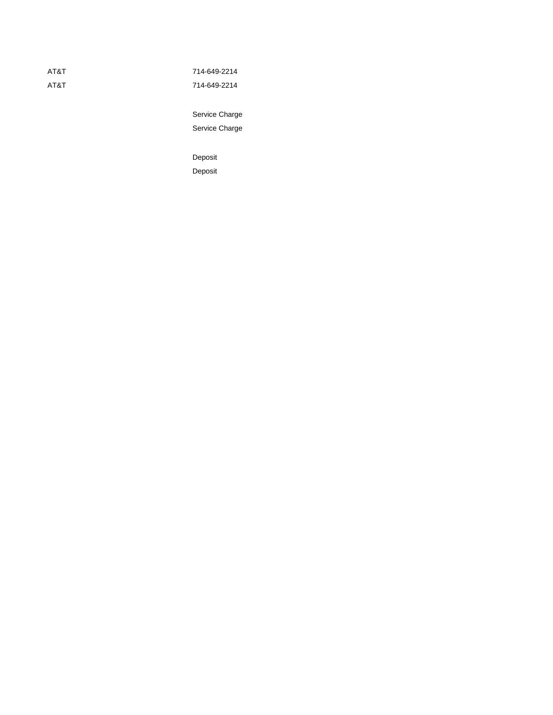| AT&T | 714-649-2214 |
|------|--------------|
| AT&T | 714-649-2214 |

Service Charge Service Charge

Deposit Deposit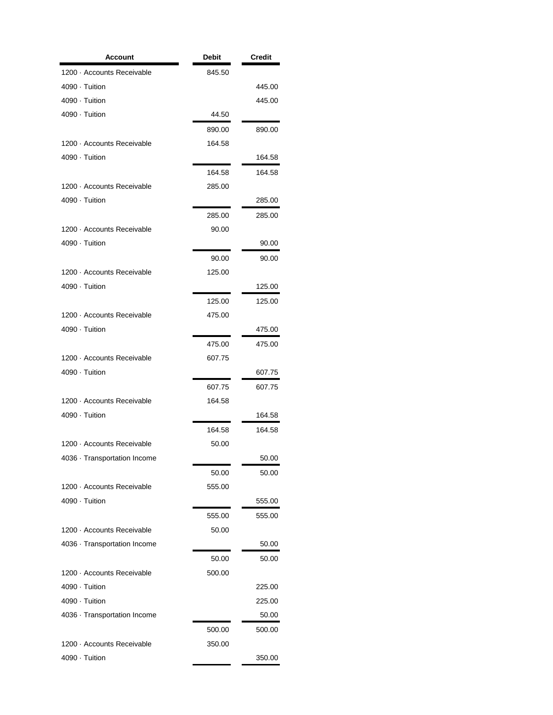| Account                      | Debit  | Credit |
|------------------------------|--------|--------|
| 1200 · Accounts Receivable   | 845.50 |        |
| 4090 · Tuition               |        | 445.00 |
| 4090 · Tuition               |        | 445.00 |
| 4090 · Tuition               | 44.50  |        |
|                              | 890.00 | 890.00 |
| 1200 · Accounts Receivable   | 164.58 |        |
| 4090 · Tuition               |        | 164.58 |
|                              | 164.58 | 164.58 |
| 1200 · Accounts Receivable   | 285.00 |        |
| 4090 · Tuition               |        | 285.00 |
|                              | 285.00 | 285.00 |
| 1200 · Accounts Receivable   | 90.00  |        |
| 4090 · Tuition               |        | 90.00  |
|                              | 90.00  | 90.00  |
| 1200 · Accounts Receivable   | 125.00 |        |
| 4090 · Tuition               |        | 125.00 |
|                              | 125.00 | 125.00 |
| 1200 · Accounts Receivable   | 475.00 |        |
| 4090 · Tuition               |        | 475.00 |
|                              | 475.00 | 475.00 |
| 1200 · Accounts Receivable   | 607.75 |        |
| 4090 · Tuition               |        | 607.75 |
|                              | 607.75 | 607.75 |
| 1200 · Accounts Receivable   | 164.58 |        |
| 4090 · Tuition               |        | 164.58 |
|                              | 164.58 | 164.58 |
| 1200 · Accounts Receivable   | 50.00  |        |
| 4036 · Transportation Income |        | 50.00  |
|                              | 50.00  | 50.00  |
| 1200 · Accounts Receivable   | 555.00 |        |
| 4090 · Tuition               |        | 555.00 |
|                              | 555.00 | 555.00 |
| 1200 · Accounts Receivable   | 50.00  |        |
| 4036 · Transportation Income |        | 50.00  |
|                              | 50.00  | 50.00  |
| 1200 · Accounts Receivable   | 500.00 |        |
| 4090 · Tuition               |        | 225.00 |
| 4090 · Tuition               |        | 225.00 |
| 4036 · Transportation Income |        | 50.00  |
|                              | 500.00 | 500.00 |
| 1200 · Accounts Receivable   | 350.00 |        |
| 4090 · Tuition               |        | 350.00 |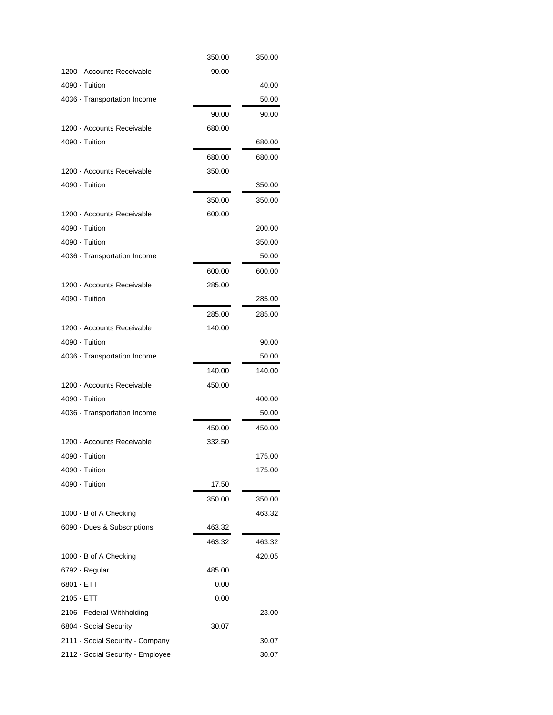|                                   | 350.00 | 350.00 |
|-----------------------------------|--------|--------|
| 1200 · Accounts Receivable        | 90.00  |        |
| 4090 · Tuition                    |        | 40.00  |
| 4036 · Transportation Income      |        | 50.00  |
|                                   | 90.00  | 90.00  |
| 1200 · Accounts Receivable        | 680.00 |        |
| 4090 · Tuition                    |        | 680.00 |
|                                   | 680.00 | 680.00 |
| 1200 · Accounts Receivable        | 350.00 |        |
| 4090 · Tuition                    |        | 350.00 |
|                                   | 350.00 | 350.00 |
| 1200 · Accounts Receivable        | 600.00 |        |
| 4090 · Tuition                    |        | 200.00 |
| 4090 · Tuition                    |        | 350.00 |
| 4036 · Transportation Income      |        | 50.00  |
|                                   | 600.00 | 600.00 |
| 1200 · Accounts Receivable        | 285.00 |        |
| 4090 · Tuition                    |        | 285.00 |
|                                   | 285.00 | 285.00 |
| 1200 · Accounts Receivable        | 140.00 |        |
| 4090 · Tuition                    |        | 90.00  |
| 4036 · Transportation Income      |        | 50.00  |
|                                   | 140.00 | 140.00 |
| 1200 · Accounts Receivable        | 450.00 |        |
| 4090 · Tuition                    |        | 400.00 |
| 4036 · Transportation Income      |        | 50.00  |
|                                   | 450.00 | 450.00 |
| 1200 · Accounts Receivable        | 332.50 |        |
| 4090 · Tuition                    |        | 175.00 |
| 4090 · Tuition                    |        | 175.00 |
| 4090 · Tuition                    | 17.50  |        |
|                                   | 350.00 | 350.00 |
| 1000 · B of A Checking            |        | 463.32 |
| 6090 Dues & Subscriptions         | 463.32 |        |
|                                   | 463.32 | 463.32 |
| 1000 · B of A Checking            |        | 420.05 |
| 6792 · Regular                    | 485.00 |        |
| 6801 · ETT                        | 0.00   |        |
| $2105 \cdot ETT$                  | 0.00   |        |
| 2106 · Federal Withholding        |        | 23.00  |
| 6804 · Social Security            | 30.07  |        |
| 2111 · Social Security - Company  |        | 30.07  |
| 2112 · Social Security - Employee |        | 30.07  |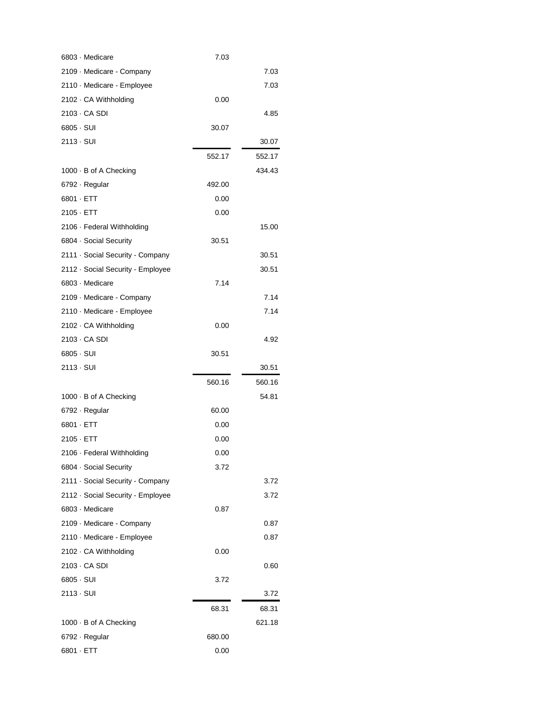| 6803 · Medicare                   | 7.03   |        |
|-----------------------------------|--------|--------|
| 2109 · Medicare - Company         |        | 7.03   |
| 2110 · Medicare - Employee        |        | 7.03   |
| 2102 · CA Withholding             | 0.00   |        |
| 2103 · CA SDI                     |        | 4.85   |
| $6805 \cdot SUI$                  | 30.07  |        |
| 2113 - SUI                        |        | 30.07  |
|                                   | 552.17 | 552.17 |
| 1000 · B of A Checking            |        | 434.43 |
| 6792 · Regular                    | 492.00 |        |
| 6801 · ETT                        | 0.00   |        |
| $2105 \cdot ETT$                  | 0.00   |        |
| 2106 · Federal Withholding        |        | 15.00  |
| 6804 Social Security              | 30.51  |        |
| 2111 · Social Security - Company  |        | 30.51  |
| 2112 · Social Security - Employee |        | 30.51  |
| 6803 - Medicare                   | 7.14   |        |
| 2109 · Medicare - Company         |        | 7.14   |
| 2110 · Medicare - Employee        |        | 7.14   |
| 2102 · CA Withholding             | 0.00   |        |
| 2103 · CA SDI                     |        | 4.92   |
|                                   |        |        |
| $6805 \cdot SUI$                  | 30.51  |        |
| 2113 - SUI                        |        | 30.51  |
|                                   | 560.16 | 560.16 |
| 1000 · B of A Checking            |        | 54.81  |
| 6792 · Regular                    | 60.00  |        |
| 6801 · ETT                        | 0.00   |        |
| $2105 \cdot ETT$                  | 0.00   |        |
| 2106 · Federal Withholding        | 0.00   |        |
| 6804 · Social Security            | 3.72   |        |
| 2111 · Social Security - Company  |        | 3.72   |
| 2112 · Social Security - Employee |        | 3.72   |
| 6803 · Medicare                   | 0.87   |        |
| 2109 · Medicare - Company         |        | 0.87   |
| 2110 · Medicare - Employee        |        | 0.87   |
| 2102 · CA Withholding             | 0.00   |        |
| 2103 - CA SDI                     |        | 0.60   |
| 6805 · SUI                        | 3.72   |        |
| 2113 - SUI                        |        | 3.72   |
|                                   | 68.31  | 68.31  |
| 1000 · B of A Checking            |        | 621.18 |
| 6792 · Regular                    | 680.00 |        |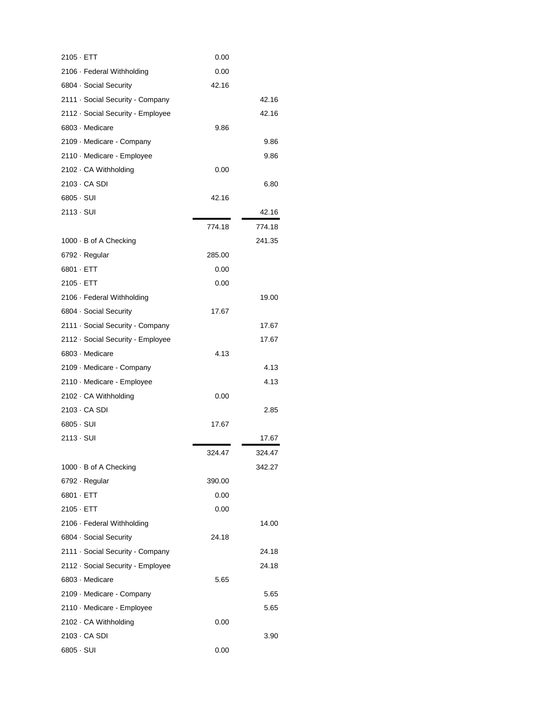| $2105 \cdot ETT$                  | 0.00   |        |
|-----------------------------------|--------|--------|
| 2106 · Federal Withholding        | 0.00   |        |
| 6804 Social Security              | 42.16  |        |
| 2111 Social Security - Company    |        | 42.16  |
| 2112 · Social Security - Employee |        | 42.16  |
| 6803 · Medicare                   | 9.86   |        |
| 2109 · Medicare - Company         |        | 9.86   |
| 2110 · Medicare - Employee        |        | 9.86   |
| 2102 · CA Withholding             | 0.00   |        |
| 2103 · CA SDI                     |        | 6.80   |
| $6805 \cdot SUI$                  | 42.16  |        |
| 2113 - SUI                        |        | 42.16  |
|                                   | 774.18 | 774.18 |
| 1000 · B of A Checking            |        | 241.35 |
| 6792 · Regular                    | 285.00 |        |
| $6801 \cdot ETT$                  | 0.00   |        |
| $2105 \cdot ETT$                  | 0.00   |        |
| 2106 · Federal Withholding        |        | 19.00  |
| 6804 Social Security              | 17.67  |        |
| 2111 · Social Security - Company  |        | 17.67  |
| 2112 Social Security - Employee   |        | 17.67  |
| 6803 · Medicare                   | 4.13   |        |
| 2109 · Medicare - Company         |        | 4.13   |
| 2110 · Medicare - Employee        |        | 4.13   |
| 2102 · CA Withholding             | 0.00   |        |
| 2103 · CA SDI                     |        | 2.85   |
| $6805 \cdot SUI$                  | 17.67  |        |
| 2113 - SUI                        |        | 17.67  |
|                                   | 324.47 | 324.47 |
| 1000 · B of A Checking            |        | 342.27 |
| 6792 · Regular                    | 390.00 |        |
| $6801 \cdot ETT$                  | 0.00   |        |
| $2105 \cdot ETT$                  | 0.00   |        |
| 2106 · Federal Withholding        |        | 14.00  |
| 6804 Social Security              | 24.18  |        |
| 2111 · Social Security - Company  |        | 24.18  |
| 2112 Social Security - Employee   |        | 24.18  |
| 6803 · Medicare                   | 5.65   |        |
| 2109 · Medicare - Company         |        | 5.65   |
| 2110 · Medicare - Employee        |        | 5.65   |
| 2102 · CA Withholding             | 0.00   |        |
| $2103 \cdot CA$ SDI               |        | 3.90   |
| $6805 \cdot SUI$                  | 0.00   |        |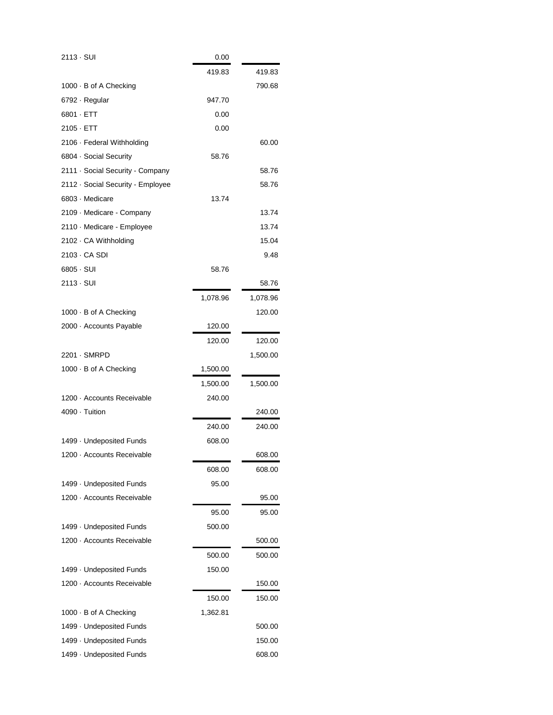| 2113 - SUI                        | 0.00     |          |
|-----------------------------------|----------|----------|
|                                   | 419.83   | 419.83   |
| 1000 · B of A Checking            |          | 790.68   |
| 6792 · Regular                    | 947.70   |          |
| 6801 · ETT                        | 0.00     |          |
| $2105 \cdot ETT$                  | 0.00     |          |
| 2106 · Federal Withholding        |          | 60.00    |
| 6804 · Social Security            | 58.76    |          |
| 2111 · Social Security - Company  |          | 58.76    |
| 2112 · Social Security - Employee |          | 58.76    |
| 6803 · Medicare                   | 13.74    |          |
| 2109 · Medicare - Company         |          | 13.74    |
| 2110 · Medicare - Employee        |          | 13.74    |
| 2102 · CA Withholding             |          | 15.04    |
| 2103 · CA SDI                     |          | 9.48     |
| 6805 · SUI                        | 58.76    |          |
| 2113 - SUI                        |          | 58.76    |
|                                   | 1,078.96 | 1,078.96 |
| 1000 · B of A Checking            |          | 120.00   |
| 2000 · Accounts Payable           | 120.00   |          |
|                                   | 120.00   | 120.00   |
| 2201 · SMRPD                      |          | 1,500.00 |
| 1000 · B of A Checking            | 1,500.00 |          |
|                                   | 1,500.00 | 1,500.00 |
| 1200 · Accounts Receivable        | 240.00   |          |
| 4090 · Tuition                    |          | 240.00   |
|                                   | 240.00   | 240.00   |
| 1499 · Undeposited Funds          | 608.00   |          |
| 1200 - Accounts Receivable        |          | 608.00   |
|                                   | 608.00   | 608.00   |
| 1499 - Undeposited Funds          | 95.00    |          |
| 1200 · Accounts Receivable        |          | 95.00    |
|                                   | 95.00    | 95.00    |
| 1499 - Undeposited Funds          | 500.00   |          |
| 1200 · Accounts Receivable        |          | 500.00   |
|                                   | 500.00   | 500.00   |
| 1499 · Undeposited Funds          | 150.00   |          |
| 1200 · Accounts Receivable        |          | 150.00   |
|                                   | 150.00   | 150.00   |
| 1000 · B of A Checking            | 1,362.81 |          |
| 1499 - Undeposited Funds          |          | 500.00   |
| 1499 - Undeposited Funds          |          | 150.00   |
| 1499 · Undeposited Funds          |          | 608.00   |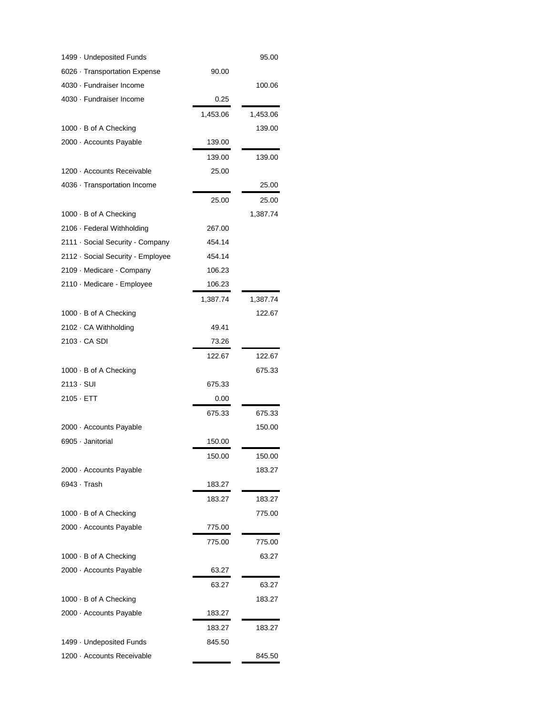| 1499 · Undeposited Funds          |          | 95.00    |
|-----------------------------------|----------|----------|
| 6026 · Transportation Expense     | 90.00    |          |
| 4030 · Fundraiser Income          |          | 100.06   |
| 4030 · Fundraiser Income          | 0.25     |          |
|                                   | 1,453.06 | 1,453.06 |
| 1000 · B of A Checking            |          | 139.00   |
| 2000 · Accounts Payable           | 139.00   |          |
|                                   | 139.00   | 139.00   |
| 1200 · Accounts Receivable        | 25.00    |          |
| 4036 · Transportation Income      |          | 25.00    |
|                                   | 25.00    | 25.00    |
| 1000 · B of A Checking            |          | 1,387.74 |
| 2106 · Federal Withholding        | 267.00   |          |
| 2111 · Social Security - Company  | 454.14   |          |
| 2112 · Social Security - Employee | 454.14   |          |
| 2109 - Medicare - Company         | 106.23   |          |
| 2110 · Medicare - Employee        | 106.23   |          |
|                                   | 1,387.74 | 1,387.74 |
| 1000 · B of A Checking            |          | 122.67   |
| 2102 · CA Withholding             | 49.41    |          |
| 2103 · CA SDI                     | 73.26    |          |
|                                   | 122.67   | 122.67   |
| 1000 · B of A Checking            |          | 675.33   |
| 2113 - SUI                        | 675.33   |          |
| $2105 \cdot ETT$                  | 0.00     |          |
|                                   | 675.33   | 675.33   |
| 2000 - Accounts Payable           |          | 150.00   |
| 6905 · Janitorial                 | 150.00   |          |
|                                   | 150.00   | 150.00   |
| 2000 · Accounts Payable           |          | 183.27   |
| 6943 · Trash                      | 183.27   |          |
|                                   | 183.27   | 183.27   |
| 1000 · B of A Checking            |          | 775.00   |
| 2000 - Accounts Payable           | 775.00   |          |
|                                   | 775.00   | 775.00   |
| 1000 · B of A Checking            |          | 63.27    |
| 2000 · Accounts Payable           | 63.27    |          |
|                                   | 63.27    | 63.27    |
| 1000 · B of A Checking            |          | 183.27   |
| 2000 · Accounts Payable           | 183.27   |          |
|                                   | 183.27   | 183.27   |
| 1499 - Undeposited Funds          | 845.50   |          |
| 1200 · Accounts Receivable        |          | 845.50   |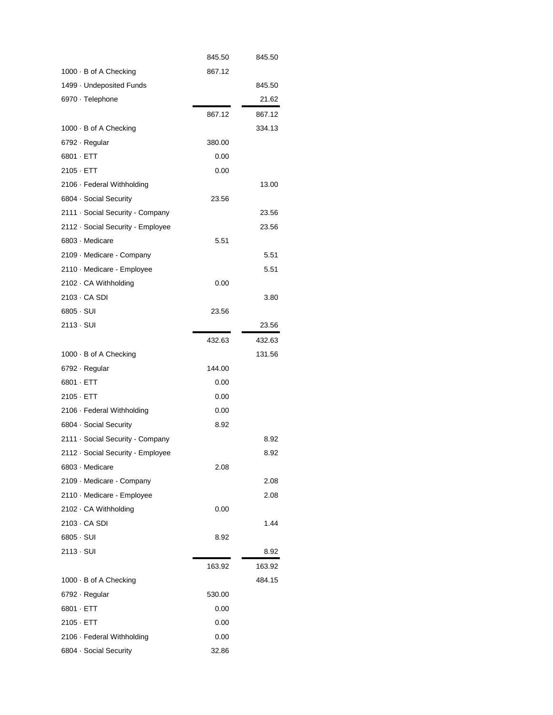|                                   | 845.50 | 845.50 |
|-----------------------------------|--------|--------|
| 1000 · B of A Checking            | 867.12 |        |
| 1499 - Undeposited Funds          |        | 845.50 |
| 6970 · Telephone                  |        | 21.62  |
|                                   | 867.12 | 867.12 |
| 1000 · B of A Checking            |        | 334.13 |
| 6792 · Regular                    | 380.00 |        |
| 6801 · ETT                        | 0.00   |        |
| $2105 \cdot ETT$                  | 0.00   |        |
| 2106 · Federal Withholding        |        | 13.00  |
| 6804 · Social Security            | 23.56  |        |
| 2111 · Social Security - Company  |        | 23.56  |
| 2112 · Social Security - Employee |        | 23.56  |
| 6803 - Medicare                   | 5.51   |        |
| 2109 · Medicare - Company         |        | 5.51   |
| 2110 · Medicare - Employee        |        | 5.51   |
| 2102 · CA Withholding             | 0.00   |        |
| 2103 · CA SDI                     |        | 3.80   |
| 6805 · SUI                        | 23.56  |        |
| 2113 - SUI                        |        | 23.56  |
|                                   | 432.63 | 432.63 |
| 1000 · B of A Checking            |        | 131.56 |
| 6792 · Regular                    | 144.00 |        |
| $6801 \cdot ETT$                  | 0.00   |        |
| $2105 \cdot ETT$                  | 0.00   |        |
| 2106 · Federal Withholding        | 0.00   |        |
| 6804 · Social Security            | 8.92   |        |
| 2111 · Social Security - Company  |        | 8.92   |
| 2112 · Social Security - Employee |        | 8.92   |
| 6803 · Medicare                   | 2.08   |        |
| 2109 · Medicare - Company         |        | 2.08   |
| 2110 · Medicare - Employee        |        | 2.08   |
| 2102 · CA Withholding             | 0.00   |        |
| 2103 · CA SDI                     |        | 1.44   |
| $6805 \cdot SUI$                  | 8.92   |        |
| 2113 - SUI                        |        | 8.92   |
|                                   | 163.92 | 163.92 |
| 1000 · B of A Checking            |        | 484.15 |
| 6792 · Regular                    | 530.00 |        |
| 6801 · ETT                        | 0.00   |        |
| $2105 \cdot ETT$                  | 0.00   |        |
| 2106 · Federal Withholding        | 0.00   |        |
|                                   |        |        |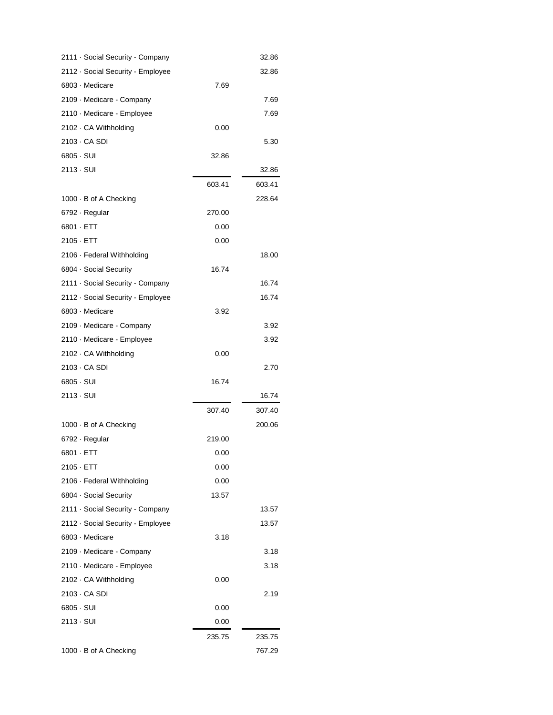| 2111 · Social Security - Company  |        | 32.86  |
|-----------------------------------|--------|--------|
| 2112 · Social Security - Employee |        | 32.86  |
| 6803 · Medicare                   | 7.69   |        |
| 2109 · Medicare - Company         |        | 7.69   |
| 2110 · Medicare - Employee        |        | 7.69   |
| 2102 · CA Withholding             | 0.00   |        |
| 2103 - CA SDI                     |        | 5.30   |
| 6805 - SUI                        | 32.86  |        |
| 2113 - SUI                        |        | 32.86  |
|                                   | 603.41 | 603.41 |
| 1000 · B of A Checking            |        | 228.64 |
| 6792 · Regular                    | 270.00 |        |
| 6801 · ETT                        | 0.00   |        |
| 2105 - ETT                        | 0.00   |        |
| 2106 · Federal Withholding        |        | 18.00  |
| 6804 · Social Security            | 16.74  |        |
| 2111 · Social Security - Company  |        | 16.74  |
| 2112 · Social Security - Employee |        | 16.74  |
| 6803 - Medicare                   | 3.92   |        |
| 2109 · Medicare - Company         |        | 3.92   |
| 2110 · Medicare - Employee        |        | 3.92   |
| 2102 · CA Withholding             | 0.00   |        |
| 2103 · CA SDI                     |        | 2.70   |
| $6805 \cdot SUI$                  | 16.74  |        |
| 2113 - SUI                        |        | 16.74  |
|                                   | 307.40 | 307.40 |
| 1000 · B of A Checking            |        | 200.06 |
| 6792 · Regular                    | 219.00 |        |
| 6801 · ETT                        | 0.00   |        |
| 2105 · ETT                        | 0.00   |        |
| 2106 · Federal Withholding        | 0.00   |        |
| 6804 Social Security              | 13.57  |        |
| 2111 · Social Security - Company  |        | 13.57  |
| 2112 · Social Security - Employee |        | 13.57  |
| 6803 · Medicare                   | 3.18   |        |
| 2109 Medicare - Company           |        | 3.18   |
| 2110 · Medicare - Employee        |        | 3.18   |
| 2102 · CA Withholding             | 0.00   |        |
| 2103 - CA SDI                     |        | 2.19   |
| 6805 - SUI                        | 0.00   |        |
| 2113 - SUI                        | 0.00   |        |
|                                   | 235.75 | 235.75 |
| 1000 · B of A Checking            |        | 767.29 |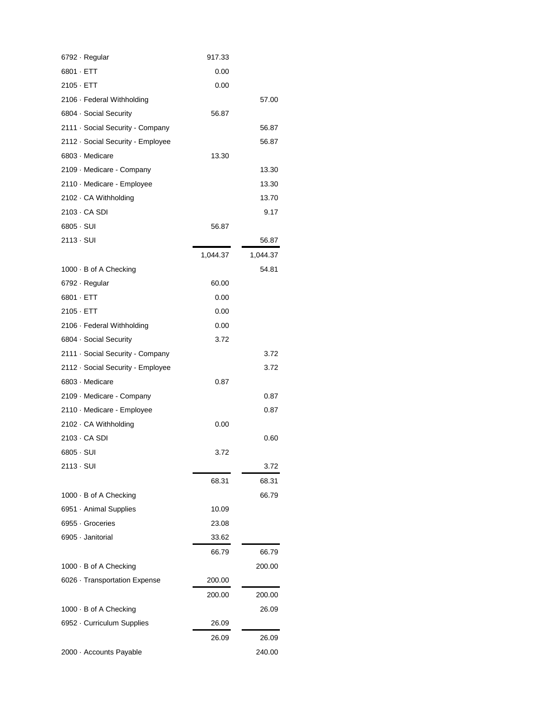| 6792 · Regular                    | 917.33   |          |
|-----------------------------------|----------|----------|
| $6801 \cdot ETT$                  | 0.00     |          |
| $2105 \cdot ETT$                  | 0.00     |          |
| 2106 · Federal Withholding        |          | 57.00    |
| 6804 · Social Security            | 56.87    |          |
| 2111 · Social Security - Company  |          | 56.87    |
| 2112 · Social Security - Employee |          | 56.87    |
| 6803 - Medicare                   | 13.30    |          |
| 2109 · Medicare - Company         |          | 13.30    |
| 2110 · Medicare - Employee        |          | 13.30    |
| 2102 · CA Withholding             |          | 13.70    |
| 2103 - CA SDI                     |          | 9.17     |
| $6805 \cdot SUI$                  | 56.87    |          |
| 2113 - SUI                        |          | 56.87    |
|                                   | 1,044.37 | 1,044.37 |
| 1000 · B of A Checking            |          | 54.81    |
| 6792 · Regular                    | 60.00    |          |
| $6801 \cdot ETT$                  | 0.00     |          |
| 2105 · ETT                        | 0.00     |          |
| 2106 · Federal Withholding        | 0.00     |          |
| 6804 · Social Security            | 3.72     |          |
| 2111 · Social Security - Company  |          | 3.72     |
| 2112 · Social Security - Employee |          | 3.72     |
| 6803 · Medicare                   | 0.87     |          |
| 2109 · Medicare - Company         |          | 0.87     |
| 2110 · Medicare - Employee        |          | 0.87     |
| 2102 · CA Withholding             | 0.00     |          |
| 2103 - CA SDI                     |          | 0.60     |
| 6805 · SUI                        | 3.72     |          |
| 2113 - SUI                        |          | 3.72     |
|                                   | 68.31    | 68.31    |
| 1000 · B of A Checking            |          | 66.79    |
| 6951 · Animal Supplies            | 10.09    |          |
| 6955 Groceries                    | 23.08    |          |
| 6905 · Janitorial                 | 33.62    |          |
|                                   | 66.79    | 66.79    |
| 1000 · B of A Checking            |          | 200.00   |
| 6026 · Transportation Expense     | 200.00   |          |
|                                   | 200.00   | 200.00   |
| 1000 · B of A Checking            |          | 26.09    |
| 6952 Curriculum Supplies          | 26.09    |          |
|                                   | 26.09    | 26.09    |
| 2000 · Accounts Payable           |          | 240.00   |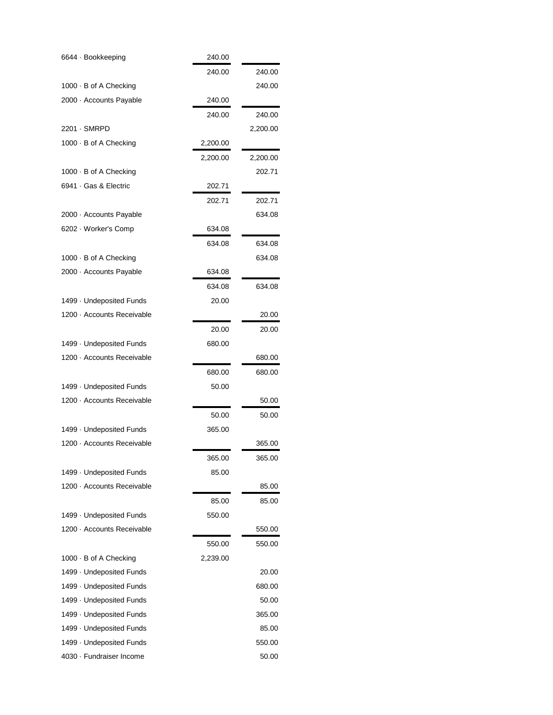| 6644 · Bookkeeping         | 240.00   |          |
|----------------------------|----------|----------|
|                            | 240.00   | 240.00   |
| 1000 · B of A Checking     |          | 240.00   |
| 2000 · Accounts Payable    | 240.00   |          |
|                            | 240.00   | 240.00   |
| 2201 · SMRPD               |          | 2,200.00 |
| 1000 · B of A Checking     | 2,200.00 |          |
|                            | 2,200.00 | 2,200.00 |
| 1000 · B of A Checking     |          | 202.71   |
| 6941 Gas & Electric        | 202.71   |          |
|                            | 202.71   | 202.71   |
| 2000 · Accounts Payable    |          | 634.08   |
| 6202 · Worker's Comp       | 634.08   |          |
|                            | 634.08   | 634.08   |
| 1000 · B of A Checking     |          | 634.08   |
| 2000 · Accounts Payable    | 634.08   |          |
|                            | 634.08   | 634.08   |
| 1499 · Undeposited Funds   | 20.00    |          |
| 1200 · Accounts Receivable |          | 20.00    |
|                            | 20.00    | 20.00    |
| 1499 · Undeposited Funds   | 680.00   |          |
| 1200 · Accounts Receivable |          | 680.00   |
|                            | 680.00   | 680.00   |
| 1499 · Undeposited Funds   | 50.00    |          |
| 1200 · Accounts Receivable |          | 50.00    |
|                            | 50.00    | 50.00    |
| 1499 · Undeposited Funds   | 365.00   |          |
| 1200 · Accounts Receivable |          | 365.00   |
|                            | 365.00   | 365.00   |
| 1499 - Undeposited Funds   | 85.00    |          |
| 1200 · Accounts Receivable |          | 85.00    |
|                            | 85.00    | 85.00    |
| 1499 · Undeposited Funds   | 550.00   |          |
| 1200 · Accounts Receivable |          | 550.00   |
|                            | 550.00   | 550.00   |
| 1000 · B of A Checking     | 2,239.00 |          |
| 1499 · Undeposited Funds   |          | 20.00    |
| 1499 · Undeposited Funds   |          | 680.00   |
| 1499 · Undeposited Funds   |          | 50.00    |
| 1499 · Undeposited Funds   |          | 365.00   |
| 1499 · Undeposited Funds   |          | 85.00    |
| 1499 · Undeposited Funds   |          | 550.00   |
| 4030 · Fundraiser Income   |          | 50.00    |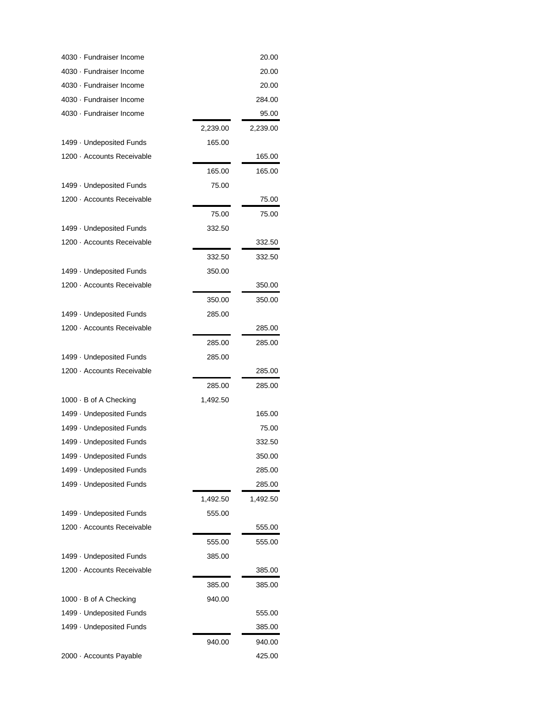| 4030 · Fundraiser Income   |          | 20.00    |
|----------------------------|----------|----------|
| 4030 · Fundraiser Income   |          | 20.00    |
| 4030 · Fundraiser Income   |          | 20.00    |
| 4030 · Fundraiser Income   |          | 284.00   |
| 4030 · Fundraiser Income   |          | 95.00    |
|                            | 2,239.00 | 2,239.00 |
| 1499 · Undeposited Funds   | 165.00   |          |
| 1200 · Accounts Receivable |          | 165.00   |
|                            | 165.00   | 165.00   |
| 1499 · Undeposited Funds   | 75.00    |          |
| 1200 · Accounts Receivable |          | 75.00    |
|                            | 75.00    | 75.00    |
| 1499 · Undeposited Funds   | 332.50   |          |
| 1200 · Accounts Receivable |          | 332.50   |
|                            | 332.50   | 332.50   |
| 1499 · Undeposited Funds   | 350.00   |          |
| 1200 · Accounts Receivable |          | 350.00   |
|                            | 350.00   | 350.00   |
| 1499 · Undeposited Funds   | 285.00   |          |
| 1200 · Accounts Receivable |          | 285.00   |
|                            | 285.00   | 285.00   |
| 1499 · Undeposited Funds   | 285.00   |          |
| 1200 · Accounts Receivable |          | 285.00   |
|                            | 285.00   | 285.00   |
| 1000 · B of A Checking     | 1,492.50 |          |
| 1499 · Undeposited Funds   |          | 165.00   |
| 1499 · Undeposited Funds   |          | 75.00    |
| 1499 · Undeposited Funds   |          | 332.50   |
| 1499 · Undeposited Funds   |          | 350.00   |
| 1499 · Undeposited Funds   |          | 285.00   |
| 1499 - Undeposited Funds   |          | 285.00   |
|                            | 1,492.50 | 1,492.50 |
| 1499 - Undeposited Funds   | 555.00   |          |
| 1200 · Accounts Receivable |          | 555.00   |
|                            |          |          |
| 1499 - Undeposited Funds   | 555.00   | 555.00   |
| 1200 · Accounts Receivable | 385.00   | 385.00   |
|                            |          |          |
|                            | 385.00   | 385.00   |
| 1000 · B of A Checking     | 940.00   |          |
| 1499 - Undeposited Funds   |          | 555.00   |
| 1499 · Undeposited Funds   |          | 385.00   |
|                            | 940.00   | 940.00   |
| 2000 · Accounts Payable    |          | 425.00   |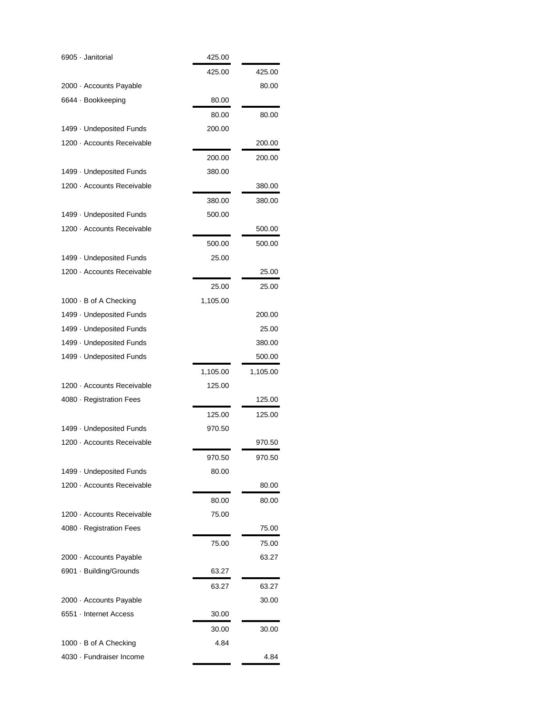| 6905 · Janitorial          | 425.00   |          |
|----------------------------|----------|----------|
|                            | 425.00   | 425.00   |
| 2000 · Accounts Payable    |          | 80.00    |
| 6644 · Bookkeeping         | 80.00    |          |
|                            | 80.00    | 80.00    |
| 1499 - Undeposited Funds   | 200.00   |          |
| 1200 · Accounts Receivable |          | 200.00   |
|                            | 200.00   | 200.00   |
| 1499 - Undeposited Funds   | 380.00   |          |
| 1200 · Accounts Receivable |          | 380.00   |
|                            | 380.00   | 380.00   |
| 1499 - Undeposited Funds   | 500.00   |          |
| 1200 · Accounts Receivable |          | 500.00   |
|                            | 500.00   | 500.00   |
| 1499 · Undeposited Funds   | 25.00    |          |
| 1200 · Accounts Receivable |          | 25.00    |
|                            | 25.00    | 25.00    |
| 1000 · B of A Checking     | 1,105.00 |          |
| 1499 · Undeposited Funds   |          | 200.00   |
| 1499 · Undeposited Funds   |          | 25.00    |
| 1499 · Undeposited Funds   |          | 380.00   |
| 1499 · Undeposited Funds   |          | 500.00   |
|                            | 1,105.00 | 1,105.00 |
| 1200 · Accounts Receivable | 125.00   |          |
| 4080 · Registration Fees   |          | 125.00   |
|                            | 125.00   | 125.00   |
| 1499 - Undeposited Funds   | 970.50   |          |
| 1200 · Accounts Receivable |          | 970.50   |
|                            | 970.50   | 970.50   |
| 1499 · Undeposited Funds   | 80.00    |          |
| 1200 · Accounts Receivable |          | 80.00    |
|                            | 80.00    | 80.00    |
| 1200 · Accounts Receivable | 75.00    |          |
| 4080 · Registration Fees   |          | 75.00    |
|                            | 75.00    | 75.00    |
| 2000 · Accounts Payable    |          | 63.27    |
| 6901 · Building/Grounds    | 63.27    |          |
|                            | 63.27    | 63.27    |
| 2000 · Accounts Payable    |          | 30.00    |
| 6551 · Internet Access     | 30.00    |          |
|                            | 30.00    | 30.00    |
| 1000 · B of A Checking     | 4.84     |          |
| 4030 · Fundraiser Income   |          | 4.84     |
|                            |          |          |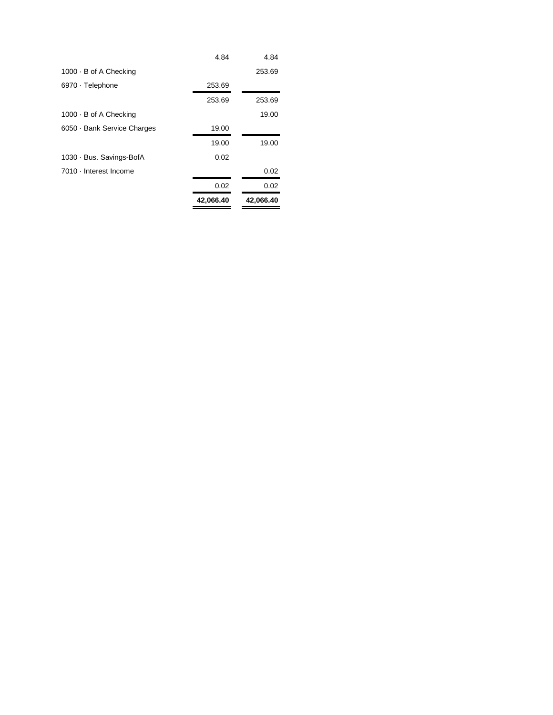|                           | 42,066.40 | 42,066.40 |
|---------------------------|-----------|-----------|
|                           | 0.02      | 0.02      |
| 7010 - Interest Income    |           | 0.02      |
| 1030 · Bus. Savings-BofA  | 0.02      |           |
|                           | 19.00     | 19.00     |
| 6050 Bank Service Charges | 19.00     |           |
| 1000 · B of A Checking    |           | 19.00     |
|                           | 253.69    | 253.69    |
| 6970 · Telephone          | 253.69    |           |
| 1000 · B of A Checking    |           | 253.69    |
|                           | 4.84      | 4.84      |
|                           |           |           |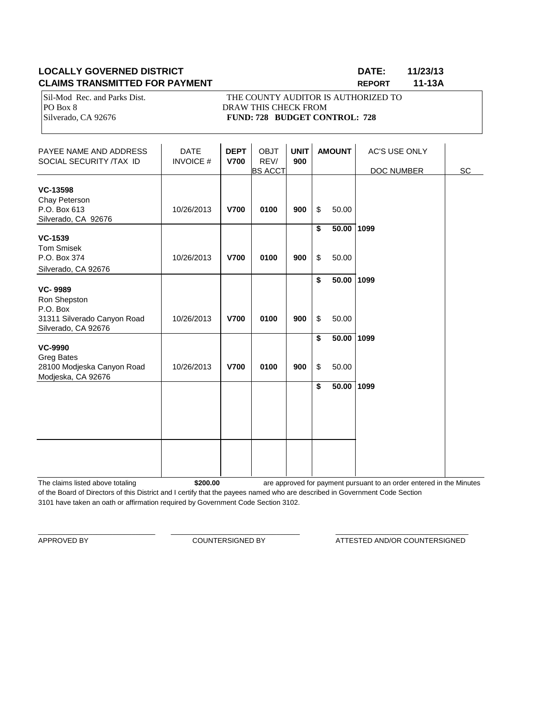# **LOCALLY GOVERNED DISTRICT DATE: 11/23/13 CLAIMS TRANSMITTED FOR PAYMENT REPORT 11-13A**

Sil-Mod Rec. and Parks Dist. THE COUNTY AUDITOR IS AUTHORIZED TO PO Box 8 DRAW THIS CHECK FROM Silverado, CA 92676 **FUND: 728 BUDGET CONTROL: 728** 

| PAYEE NAME AND ADDRESS<br>SOCIAL SECURITY /TAX ID                                                | <b>DATE</b><br><b>INVOICE#</b> | <b>DEPT</b><br><b>V700</b> | <b>OBJT</b><br>REV/<br><b>BS ACCT</b> | <b>UNIT</b><br>900 |          | <b>AMOUNT</b>         | <b>AC'S USE ONLY</b><br>DOC NUMBER | <b>SC</b> |
|--------------------------------------------------------------------------------------------------|--------------------------------|----------------------------|---------------------------------------|--------------------|----------|-----------------------|------------------------------------|-----------|
| VC-13598<br>Chay Peterson<br>P.O. Box 613<br>Silverado, CA 92676                                 | 10/26/2013                     | <b>V700</b>                | 0100                                  | 900                | \$       | 50.00                 |                                    |           |
| <b>VC-1539</b><br><b>Tom Smisek</b><br>P.O. Box 374<br>Silverado, CA 92676                       | 10/26/2013                     | <b>V700</b>                | 0100                                  | 900                | \$<br>\$ | $50.00$ 1099<br>50.00 |                                    |           |
| <b>VC-9989</b><br>Ron Shepston<br>P.O. Box<br>31311 Silverado Canyon Road<br>Silverado, CA 92676 | 10/26/2013                     | <b>V700</b>                | 0100                                  | 900                | \$<br>\$ | 50.00 1099<br>50.00   |                                    |           |
| <b>VC-9990</b><br><b>Greg Bates</b><br>28100 Modjeska Canyon Road<br>Modjeska, CA 92676          | 10/26/2013                     | <b>V700</b>                | 0100                                  | 900                | \$<br>\$ | $50.00$ 1099<br>50.00 |                                    |           |
|                                                                                                  |                                |                            |                                       |                    | \$       | 50.00                 | 1099                               |           |
|                                                                                                  |                                |                            |                                       |                    |          |                       |                                    |           |

The claims listed above totaling **\$200.00** of the Board of Directors of this District and I certify that the payees named who are described in Government Code Section 3101 have taken an oath or affirmation required by Government Code Section 3102. are approved for payment pursuant to an order entered in the Minutes

\_\_\_\_\_\_\_\_\_\_\_\_\_\_\_\_\_\_\_\_\_\_\_\_\_\_\_\_\_\_ \_\_\_\_\_\_\_\_\_\_\_\_\_\_\_\_\_\_\_\_\_\_\_\_\_\_\_\_\_\_\_\_\_ \_\_\_\_\_\_\_\_\_\_\_\_\_\_\_\_\_\_\_\_\_\_\_\_\_\_\_\_\_\_\_\_\_\_

APPROVED BY **COUNTERSIGNED BY COUNTERSIGNED BY ATTESTED AND/OR COUNTERSIGNED**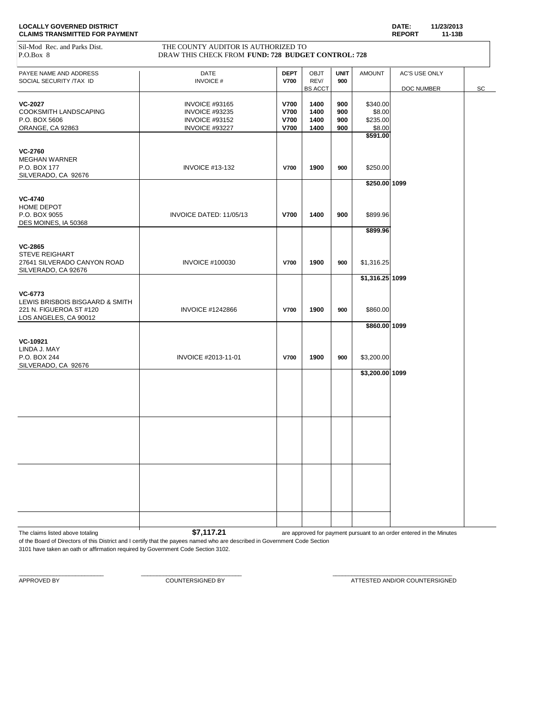| Sil-Mod Rec. and Parks Dist.<br>P.O.Box 8 | THE COUNTY AUDITOR IS AUTHORIZED TO<br>DRAW THIS CHECK FROM FUND: 728 BUDGET CONTROL: 728 |             |                        |             |                  |               |    |
|-------------------------------------------|-------------------------------------------------------------------------------------------|-------------|------------------------|-------------|------------------|---------------|----|
|                                           |                                                                                           |             |                        |             |                  |               |    |
| PAYEE NAME AND ADDRESS                    | DATE                                                                                      | <b>DEPT</b> | <b>OBJT</b>            | <b>UNIT</b> | <b>AMOUNT</b>    | AC'S USE ONLY |    |
| SOCIAL SECURITY /TAX ID                   | <b>INVOICE#</b>                                                                           | <b>V700</b> | REV/<br><b>BS ACCT</b> | 900         |                  | DOC NUMBER    | SC |
| <b>VC-2027</b>                            | <b>INVOICE #93165</b>                                                                     | <b>V700</b> | 1400                   | 900         | \$340.00         |               |    |
| COOKSMITH LANDSCAPING                     | <b>INVOICE #93235</b>                                                                     | <b>V700</b> | 1400                   | 900         | \$8.00           |               |    |
| P.O. BOX 5606                             | <b>INVOICE #93152</b>                                                                     | <b>V700</b> | 1400                   | 900         | \$235.00         |               |    |
| ORANGE, CA 92863                          | INVOICE #93227                                                                            | <b>V700</b> | 1400                   | 900         | \$8.00           |               |    |
|                                           |                                                                                           |             |                        |             | \$591.00         |               |    |
| <b>VC-2760</b>                            |                                                                                           |             |                        |             |                  |               |    |
| <b>MEGHAN WARNER</b>                      |                                                                                           |             |                        |             |                  |               |    |
| P.O. BOX 177                              | <b>INVOICE #13-132</b>                                                                    | <b>V700</b> | 1900                   | 900         | \$250.00         |               |    |
| SILVERADO, CA 92676                       |                                                                                           |             |                        |             | \$250.00 1099    |               |    |
|                                           |                                                                                           |             |                        |             |                  |               |    |
| <b>VC-4740</b><br>HOME DEPOT              |                                                                                           |             |                        |             |                  |               |    |
| P.O. BOX 9055                             | INVOICE DATED: 11/05/13                                                                   | <b>V700</b> | 1400                   | 900         | \$899.96         |               |    |
| DES MOINES, IA 50368                      |                                                                                           |             |                        |             |                  |               |    |
|                                           |                                                                                           |             |                        |             | \$899.96         |               |    |
| <b>VC-2865</b>                            |                                                                                           |             |                        |             |                  |               |    |
| <b>STEVE REIGHART</b>                     |                                                                                           |             |                        |             |                  |               |    |
| 27641 SILVERADO CANYON ROAD               | <b>INVOICE #100030</b>                                                                    | <b>V700</b> | 1900                   | 900         | \$1,316.25       |               |    |
| SILVERADO, CA 92676                       |                                                                                           |             |                        |             | $$1,316.25$ 1099 |               |    |
|                                           |                                                                                           |             |                        |             |                  |               |    |
| VC-6773                                   |                                                                                           |             |                        |             |                  |               |    |
| LEWIS BRISBOIS BISGAARD & SMITH           |                                                                                           |             |                        |             |                  |               |    |
| 221 N. FIGUEROA ST #120                   | <b>INVOICE #1242866</b>                                                                   | <b>V700</b> | 1900                   | 900         | \$860.00         |               |    |
| LOS ANGELES, CA 90012                     |                                                                                           |             |                        |             | \$860.00 1099    |               |    |
|                                           |                                                                                           |             |                        |             |                  |               |    |
| VC-10921<br>LINDA J. MAY                  |                                                                                           |             |                        |             |                  |               |    |
| P.O. BOX 244                              | INVOICE #2013-11-01                                                                       | <b>V700</b> | 1900                   | 900         | \$3,200.00       |               |    |
| SILVERADO, CA 92676                       |                                                                                           |             |                        |             |                  |               |    |
|                                           |                                                                                           |             |                        |             | \$3,200.00 1099  |               |    |
|                                           |                                                                                           |             |                        |             |                  |               |    |
|                                           |                                                                                           |             |                        |             |                  |               |    |
|                                           |                                                                                           |             |                        |             |                  |               |    |
|                                           |                                                                                           |             |                        |             |                  |               |    |
|                                           |                                                                                           |             |                        |             |                  |               |    |
|                                           |                                                                                           |             |                        |             |                  |               |    |
|                                           |                                                                                           |             |                        |             |                  |               |    |
|                                           |                                                                                           |             |                        |             |                  |               |    |
|                                           |                                                                                           |             |                        |             |                  |               |    |
|                                           |                                                                                           |             |                        |             |                  |               |    |
|                                           |                                                                                           |             |                        |             |                  |               |    |
|                                           |                                                                                           |             |                        |             |                  |               |    |
|                                           |                                                                                           |             |                        |             |                  |               |    |

The claims listed above totaling **1 \$7,117.21** are approved for payment pursuant to an order entered in the Minutes

of the Board of Directors of this District and I certify that the payees named who are described in Government Code Section 3101 have taken an oath or affirmation required by Government Code Section 3102.

 $\_$  , and the set of the set of the set of the set of the set of the set of the set of the set of the set of the set of the set of the set of the set of the set of the set of the set of the set of the set of the set of th

APPROVED BY **A PEROVED BY** COUNTERSIGNED BY **COUNTERSIGNED BY** ATTESTED AND/OR COUNTERSIGNED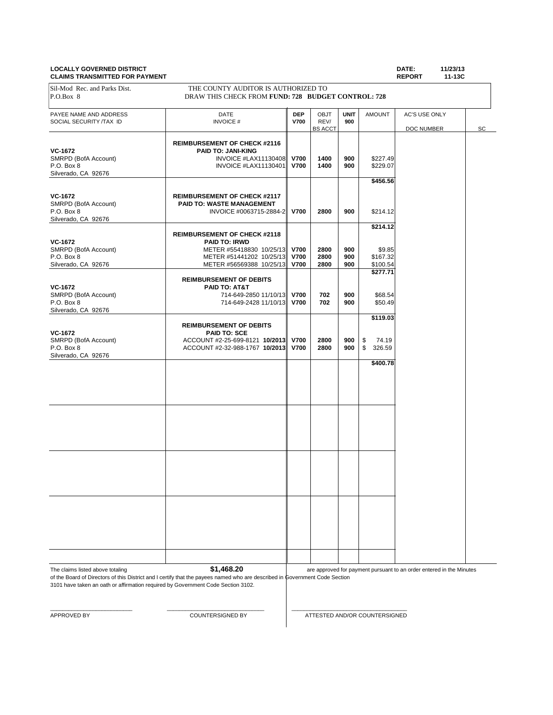#### **LOCALLY GOVERNED DISTRICT DATE: 11/23/13 CLAIMS TRANSMITTED FOR PAYMENT**

| P.O.Box 8<br>PAYEE NAME AND ADDRESS                                         | DRAW THIS CHECK FROM FUND: 728 BUDGET CONTROL: 728<br>DATE                                                                                      | <b>DEP</b>                                | OBJT                   | <b>UNIT</b>       | <b>AMOUNT</b>                              | AC'S USE ONLY |    |
|-----------------------------------------------------------------------------|-------------------------------------------------------------------------------------------------------------------------------------------------|-------------------------------------------|------------------------|-------------------|--------------------------------------------|---------------|----|
| SOCIAL SECURITY /TAX ID                                                     | <b>INVOICE#</b>                                                                                                                                 | <b>V700</b>                               | REV/<br><b>BS ACCT</b> | 900               |                                            | DOC NUMBER    | SC |
| VC-1672<br>SMRPD (BofA Account)<br>P.O. Box 8<br>Silverado, CA 92676        | <b>REIMBURSEMENT OF CHECK #2116</b><br>PAID TO: JANI-KING<br>INVOICE #LAX11130408<br><b>INVOICE #LAX11130401</b>                                | <b>V700</b><br><b>V700</b>                | 1400<br>1400           | 900<br>900        | \$227.49<br>\$229.07                       |               |    |
| <b>VC-1672</b><br>SMRPD (BofA Account)<br>P.O. Box 8<br>Silverado, CA 92676 | <b>REIMBURSEMENT OF CHECK #2117</b><br>PAID TO: WASTE MANAGEMENT<br>INVOICE #0063715-2884-2                                                     | <b>V700</b>                               | 2800                   | 900               | \$456.56<br>\$214.12                       |               |    |
| VC-1672<br>SMRPD (BofA Account)<br>P.O. Box 8<br>Silverado, CA 92676        | <b>REIMBURSEMENT OF CHECK #2118</b><br><b>PAID TO: IRWD</b><br>METER #55418830 10/25/13<br>METER #51441202 10/25/13<br>METER #56569388 10/25/13 | <b>V700</b><br><b>V700</b><br><b>V700</b> | 2800<br>2800<br>2800   | 900<br>900<br>900 | \$214.12<br>\$9.85<br>\$167.32<br>\$100.54 |               |    |
| VC-1672<br>SMRPD (BofA Account)<br>P.O. Box 8<br>Silverado, CA 92676        | <b>REIMBURSEMENT OF DEBITS</b><br>PAID TO: AT&T<br>714-649-2850 11/10/13 V700<br>714-649-2428 11/10/13                                          | <b>V700</b>                               | 702<br>702             | 900<br>900        | \$277.71<br>\$68.54<br>\$50.49             |               |    |
| <b>VC-1672</b><br>SMRPD (BofA Account)<br>P.O. Box 8<br>Silverado, CA 92676 | <b>REIMBURSEMENT OF DEBITS</b><br><b>PAID TO: SCE</b><br>ACCOUNT #2-25-699-8121 10/2013 V700<br>ACCOUNT #2-32-988-1767 10/2013 V700             |                                           | 2800<br>2800           | 900<br>900        | \$119.03<br>\$<br>74.19<br>\$<br>326.59    |               |    |
|                                                                             |                                                                                                                                                 |                                           |                        |                   | \$400.78                                   |               |    |
|                                                                             |                                                                                                                                                 |                                           |                        |                   |                                            |               |    |
|                                                                             |                                                                                                                                                 |                                           |                        |                   |                                            |               |    |
|                                                                             |                                                                                                                                                 |                                           |                        |                   |                                            |               |    |
|                                                                             |                                                                                                                                                 |                                           |                        |                   |                                            |               |    |

The claims listed above totaling **\$1,468.20** 

3101 have taken an oath or affirmation required by Government Code Section 3102.

of the Board of Directors of this District and I certify that the payees named who are described in Government Code Section are approved for payment pursuant to an order entered in the Minutes

 $\_$  , and the set of the set of the set of the set of the set of the set of the set of the set of the set of the set of the set of the set of the set of the set of the set of the set of the set of the set of the set of th

APPROVED BY COUNTERSIGNED BY COUNTERSIGNED BY ATTESTED AND/OR COUNTERSIGNED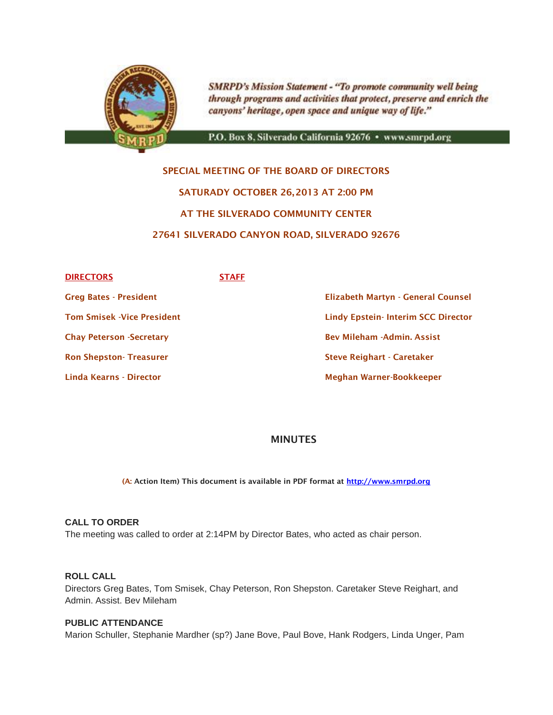

**SMRPD's Mission Statement - "To promote community well being** through programs and activities that protect, preserve and enrich the canyons' heritage, open space and unique way of life."

P.O. Box 8, Silverado California 92676 · www.smrpd.org

# **SPECIAL MEETING OF THE BOARD OF DIRECTORS SATURADY OCTOBER 26,2013 AT 2:00 PM AT THE SILVERADO COMMUNITY CENTER 27641 SILVERADO CANYON ROAD, SILVERADO 92676**

| <b>DIRECTORS</b>                | <b>STAFF</b> |                                           |
|---------------------------------|--------------|-------------------------------------------|
| <b>Greg Bates - President</b>   |              | <b>Elizabeth Martyn - General Counsel</b> |
| Tom Smisek -Vice President      |              | <b>Lindy Epstein-Interim SCC Director</b> |
| <b>Chay Peterson -Secretary</b> |              | <b>Bev Mileham - Admin, Assist</b>        |
| <b>Ron Shepston- Treasurer</b>  |              | <b>Steve Reighart - Caretaker</b>         |
| Linda Kearns - Director         |              | Meghan Warner-Bookkeeper                  |
|                                 |              |                                           |

# **MINUTES**

**(A: Action Item) This document is available in PDF format at [http://www.smrpd.org](http://www.smrpd.org/)**

#### **CALL TO ORDER**

The meeting was called to order at 2:14PM by Director Bates, who acted as chair person.

### **ROLL CALL**

Directors Greg Bates, Tom Smisek, Chay Peterson, Ron Shepston. Caretaker Steve Reighart, and Admin. Assist. Bev Mileham

#### **PUBLIC ATTENDANCE**

Marion Schuller, Stephanie Mardher (sp?) Jane Bove, Paul Bove, Hank Rodgers, Linda Unger, Pam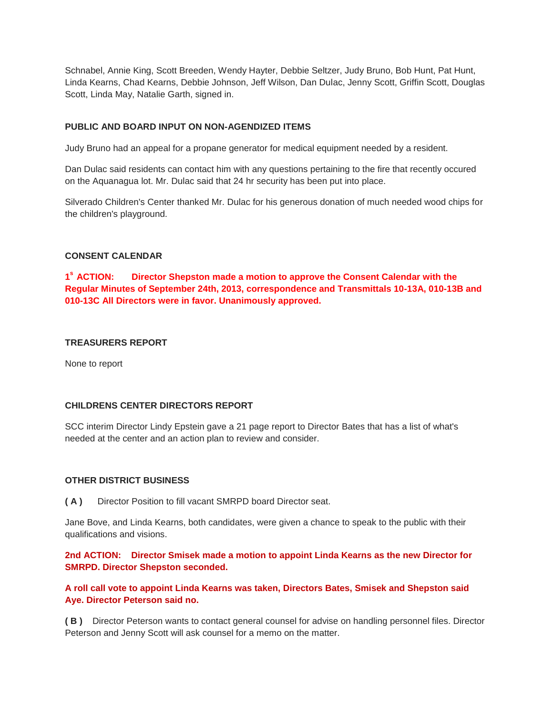Schnabel, Annie King, Scott Breeden, Wendy Hayter, Debbie Seltzer, Judy Bruno, Bob Hunt, Pat Hunt, Linda Kearns, Chad Kearns, Debbie Johnson, Jeff Wilson, Dan Dulac, Jenny Scott, Griffin Scott, Douglas Scott, Linda May, Natalie Garth, signed in.

#### **PUBLIC AND BOARD INPUT ON NON-AGENDIZED ITEMS**

Judy Bruno had an appeal for a propane generator for medical equipment needed by a resident.

Dan Dulac said residents can contact him with any questions pertaining to the fire that recently occured on the Aquanagua lot. Mr. Dulac said that 24 hr security has been put into place.

Silverado Children's Center thanked Mr. Dulac for his generous donation of much needed wood chips for the children's playground.

#### **CONSENT CALENDAR**

1<sup>°</sup> ACTION: **Director Shepston made a motion to approve the Consent Calendar with the Regular Minutes of September 24th, 2013, correspondence and Transmittals 10-13A, 010-13B and 010-13C All Directors were in favor. Unanimously approved.**

#### **TREASURERS REPORT**

None to report

#### **CHILDRENS CENTER DIRECTORS REPORT**

SCC interim Director Lindy Epstein gave a 21 page report to Director Bates that has a list of what's needed at the center and an action plan to review and consider.

#### **OTHER DISTRICT BUSINESS**

**( A )** Director Position to fill vacant SMRPD board Director seat.

Jane Bove, and Linda Kearns, both candidates, were given a chance to speak to the public with their qualifications and visions.

**2nd ACTION: Director Smisek made a motion to appoint Linda Kearns as the new Director for SMRPD. Director Shepston seconded.**

**A roll call vote to appoint Linda Kearns was taken, Directors Bates, Smisek and Shepston said Aye. Director Peterson said no.**

**( B )** Director Peterson wants to contact general counsel for advise on handling personnel files. Director Peterson and Jenny Scott will ask counsel for a memo on the matter.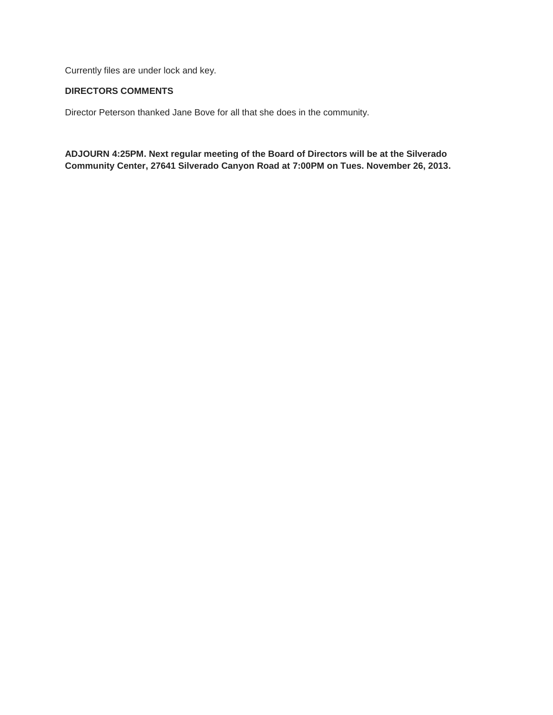Currently files are under lock and key.

### **DIRECTORS COMMENTS**

Director Peterson thanked Jane Bove for all that she does in the community.

**ADJOURN 4:25PM. Next regular meeting of the Board of Directors will be at the Silverado Community Center, 27641 Silverado Canyon Road at 7:00PM on Tues. November 26, 2013.**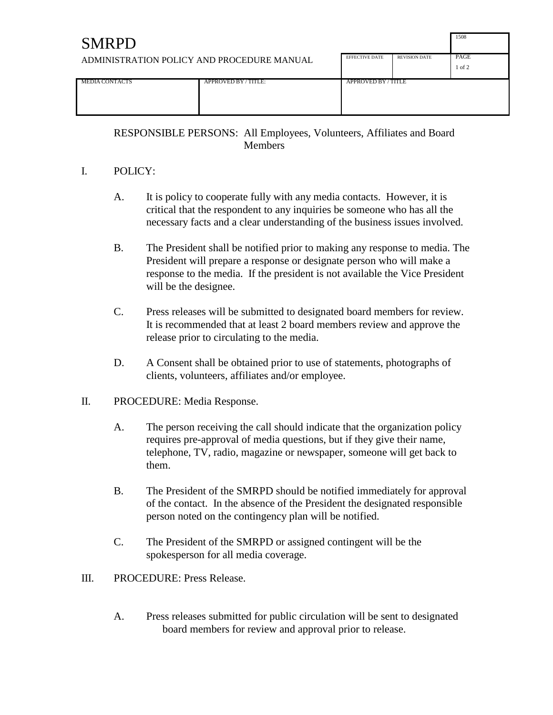| <b>SMRPD</b>                               |                       |                      |                    | 1508 |
|--------------------------------------------|-----------------------|----------------------|--------------------|------|
| ADMINISTRATION POLICY AND PROCEDURE MANUAL | <b>EFFECTIVE DATE</b> | <b>REVISION DATE</b> | PAGE<br>$1$ of $2$ |      |
| <b>MEDIA CONTACTS</b>                      | APPROVED BY/TITLE:    | APPROVED BY/TITLE    |                    |      |

RESPONSIBLE PERSONS: All Employees, Volunteers, Affiliates and Board **Members** 

# I. POLICY:

- A. It is policy to cooperate fully with any media contacts. However, it is critical that the respondent to any inquiries be someone who has all the necessary facts and a clear understanding of the business issues involved.
- B. The President shall be notified prior to making any response to media. The President will prepare a response or designate person who will make a response to the media. If the president is not available the Vice President will be the designee.
- C. Press releases will be submitted to designated board members for review. It is recommended that at least 2 board members review and approve the release prior to circulating to the media.
- D. A Consent shall be obtained prior to use of statements, photographs of clients, volunteers, affiliates and/or employee.

# II. PROCEDURE: Media Response.

- A. The person receiving the call should indicate that the organization policy requires pre-approval of media questions, but if they give their name, telephone, TV, radio, magazine or newspaper, someone will get back to them.
- B. The President of the SMRPD should be notified immediately for approval of the contact. In the absence of the President the designated responsible person noted on the contingency plan will be notified.
- C. The President of the SMRPD or assigned contingent will be the spokesperson for all media coverage.
- III. PROCEDURE: Press Release.
	- A. Press releases submitted for public circulation will be sent to designated board members for review and approval prior to release.